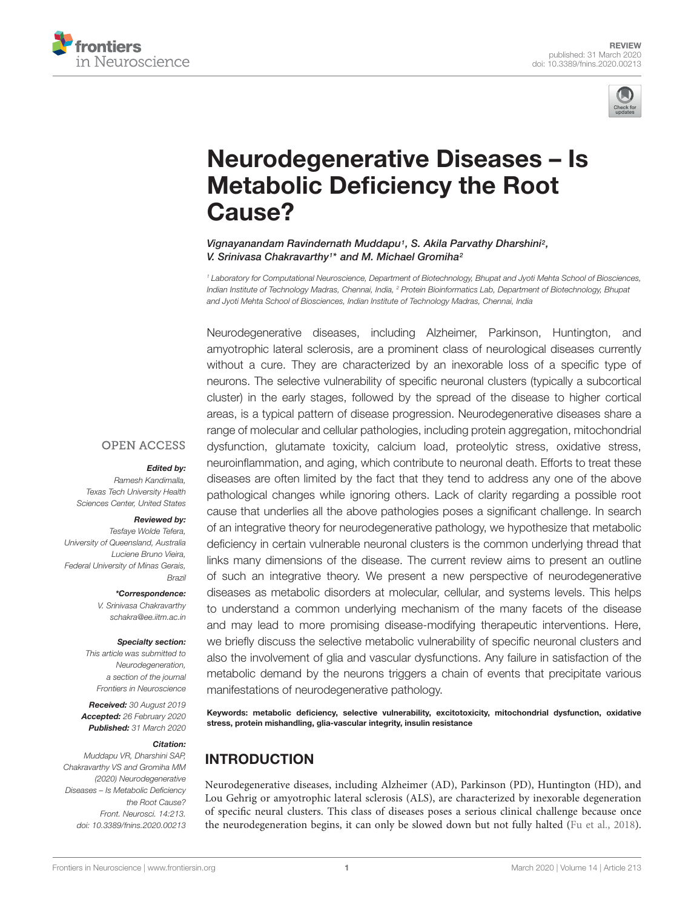



# Neurodegenerative Diseases – Is Metabolic Deficiency the Root Cause?

Vignayanandam Ravindernath Muddapu<sup>1</sup>, S. Akila Parvathy Dharshini<sup>2</sup>, V. Srinivasa Chakravarthy<sup>1\*</sup> and M. Michael Gromiha<sup>2</sup>

*<sup>1</sup> Laboratory for Computational Neuroscience, Department of Biotechnology, Bhupat and Jyoti Mehta School of Biosciences, Indian Institute of Technology Madras, Chennai, India, <sup>2</sup> Protein Bioinformatics Lab, Department of Biotechnology, Bhupat and Jyoti Mehta School of Biosciences, Indian Institute of Technology Madras, Chennai, India*

Neurodegenerative diseases, including Alzheimer, Parkinson, Huntington, and amyotrophic lateral sclerosis, are a prominent class of neurological diseases currently without a cure. They are characterized by an inexorable loss of a specific type of neurons. The selective vulnerability of specific neuronal clusters (typically a subcortical cluster) in the early stages, followed by the spread of the disease to higher cortical areas, is a typical pattern of disease progression. Neurodegenerative diseases share a range of molecular and cellular pathologies, including protein aggregation, mitochondrial dysfunction, glutamate toxicity, calcium load, proteolytic stress, oxidative stress, neuroinflammation, and aging, which contribute to neuronal death. Efforts to treat these diseases are often limited by the fact that they tend to address any one of the above pathological changes while ignoring others. Lack of clarity regarding a possible root cause that underlies all the above pathologies poses a significant challenge. In search of an integrative theory for neurodegenerative pathology, we hypothesize that metabolic deficiency in certain vulnerable neuronal clusters is the common underlying thread that links many dimensions of the disease. The current review aims to present an outline of such an integrative theory. We present a new perspective of neurodegenerative diseases as metabolic disorders at molecular, cellular, and systems levels. This helps to understand a common underlying mechanism of the many facets of the disease and may lead to more promising disease-modifying therapeutic interventions. Here, we briefly discuss the selective metabolic vulnerability of specific neuronal clusters and also the involvement of glia and vascular dysfunctions. Any failure in satisfaction of the metabolic demand by the neurons triggers a chain of events that precipitate various manifestations of neurodegenerative pathology.

Keywords: metabolic deficiency, selective vulnerability, excitotoxicity, mitochondrial dysfunction, oxidative stress, protein mishandling, glia-vascular integrity, insulin resistance

# INTRODUCTION

Neurodegenerative diseases, including Alzheimer (AD), Parkinson (PD), Huntington (HD), and Lou Gehrig or amyotrophic lateral sclerosis (ALS), are characterized by inexorable degeneration of specific neural clusters. This class of diseases poses a serious clinical challenge because once the neurodegeneration begins, it can only be slowed down but not fully halted (Fu et al., 2018).

#### **OPEN ACCESS**

#### Edited by:

*Ramesh Kandimalla, Texas Tech University Health Sciences Center, United States*

#### Reviewed by:

*Tesfaye Wolde Tefera, University of Queensland, Australia Luciene Bruno Vieira, Federal University of Minas Gerais, Brazil*

\*Correspondence:

*V. Srinivasa Chakravarthy schakra@ee.iitm.ac.in*

#### Specialty section:

*This article was submitted to Neurodegeneration, a section of the journal Frontiers in Neuroscience*

Received: *30 August 2019* Accepted: *26 February 2020* Published: *31 March 2020*

#### Citation:

*Muddapu VR, Dharshini SAP, Chakravarthy VS and Gromiha MM (2020) Neurodegenerative Diseases – Is Metabolic Deficiency the Root Cause? Front. Neurosci. 14:213. doi: 10.3389/fnins.2020.00213*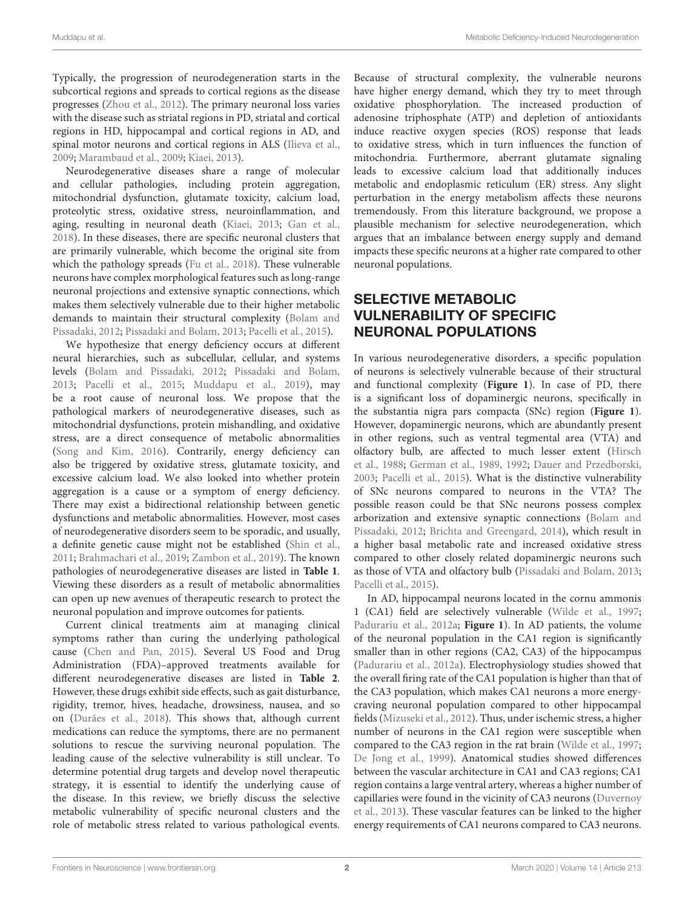Typically, the progression of neurodegeneration starts in the subcortical regions and spreads to cortical regions as the disease progresses (Zhou et al., 2012). The primary neuronal loss varies with the disease such as striatal regions in PD, striatal and cortical regions in HD, hippocampal and cortical regions in AD, and spinal motor neurons and cortical regions in ALS (Ilieva et al., 2009; Marambaud et al., 2009; Kiaei, 2013).

Neurodegenerative diseases share a range of molecular and cellular pathologies, including protein aggregation, mitochondrial dysfunction, glutamate toxicity, calcium load, proteolytic stress, oxidative stress, neuroinflammation, and aging, resulting in neuronal death (Kiaei, 2013; Gan et al., 2018). In these diseases, there are specific neuronal clusters that are primarily vulnerable, which become the original site from which the pathology spreads (Fu et al., 2018). These vulnerable neurons have complex morphological features such as long-range neuronal projections and extensive synaptic connections, which makes them selectively vulnerable due to their higher metabolic demands to maintain their structural complexity (Bolam and Pissadaki, 2012; Pissadaki and Bolam, 2013; Pacelli et al., 2015).

We hypothesize that energy deficiency occurs at different neural hierarchies, such as subcellular, cellular, and systems levels (Bolam and Pissadaki, 2012; Pissadaki and Bolam, 2013; Pacelli et al., 2015; Muddapu et al., 2019), may be a root cause of neuronal loss. We propose that the pathological markers of neurodegenerative diseases, such as mitochondrial dysfunctions, protein mishandling, and oxidative stress, are a direct consequence of metabolic abnormalities (Song and Kim, 2016). Contrarily, energy deficiency can also be triggered by oxidative stress, glutamate toxicity, and excessive calcium load. We also looked into whether protein aggregation is a cause or a symptom of energy deficiency. There may exist a bidirectional relationship between genetic dysfunctions and metabolic abnormalities. However, most cases of neurodegenerative disorders seem to be sporadic, and usually, a definite genetic cause might not be established (Shin et al., 2011; Brahmachari et al., 2019; Zambon et al., 2019). The known pathologies of neurodegenerative diseases are listed in **Table 1**. Viewing these disorders as a result of metabolic abnormalities can open up new avenues of therapeutic research to protect the neuronal population and improve outcomes for patients.

Current clinical treatments aim at managing clinical symptoms rather than curing the underlying pathological cause (Chen and Pan, 2015). Several US Food and Drug Administration (FDA)–approved treatments available for different neurodegenerative diseases are listed in **Table 2**. However, these drugs exhibit side effects, such as gait disturbance, rigidity, tremor, hives, headache, drowsiness, nausea, and so on (Durães et al., 2018). This shows that, although current medications can reduce the symptoms, there are no permanent solutions to rescue the surviving neuronal population. The leading cause of the selective vulnerability is still unclear. To determine potential drug targets and develop novel therapeutic strategy, it is essential to identify the underlying cause of the disease. In this review, we briefly discuss the selective metabolic vulnerability of specific neuronal clusters and the role of metabolic stress related to various pathological events.

Because of structural complexity, the vulnerable neurons have higher energy demand, which they try to meet through oxidative phosphorylation. The increased production of adenosine triphosphate (ATP) and depletion of antioxidants induce reactive oxygen species (ROS) response that leads to oxidative stress, which in turn influences the function of mitochondria. Furthermore, aberrant glutamate signaling leads to excessive calcium load that additionally induces metabolic and endoplasmic reticulum (ER) stress. Any slight perturbation in the energy metabolism affects these neurons tremendously. From this literature background, we propose a plausible mechanism for selective neurodegeneration, which argues that an imbalance between energy supply and demand impacts these specific neurons at a higher rate compared to other neuronal populations.

## SELECTIVE METABOLIC VULNERABILITY OF SPECIFIC NEURONAL POPULATIONS

In various neurodegenerative disorders, a specific population of neurons is selectively vulnerable because of their structural and functional complexity (**Figure 1**). In case of PD, there is a significant loss of dopaminergic neurons, specifically in the substantia nigra pars compacta (SNc) region (**Figure 1**). However, dopaminergic neurons, which are abundantly present in other regions, such as ventral tegmental area (VTA) and olfactory bulb, are affected to much lesser extent (Hirsch et al., 1988; German et al., 1989, 1992; Dauer and Przedborski, 2003; Pacelli et al., 2015). What is the distinctive vulnerability of SNc neurons compared to neurons in the VTA? The possible reason could be that SNc neurons possess complex arborization and extensive synaptic connections (Bolam and Pissadaki, 2012; Brichta and Greengard, 2014), which result in a higher basal metabolic rate and increased oxidative stress compared to other closely related dopaminergic neurons such as those of VTA and olfactory bulb (Pissadaki and Bolam, 2013; Pacelli et al., 2015).

In AD, hippocampal neurons located in the cornu ammonis 1 (CA1) field are selectively vulnerable (Wilde et al., 1997; Padurariu et al., 2012a; **Figure 1**). In AD patients, the volume of the neuronal population in the CA1 region is significantly smaller than in other regions (CA2, CA3) of the hippocampus (Padurariu et al., 2012a). Electrophysiology studies showed that the overall firing rate of the CA1 population is higher than that of the CA3 population, which makes CA1 neurons a more energycraving neuronal population compared to other hippocampal fields (Mizuseki et al., 2012). Thus, under ischemic stress, a higher number of neurons in the CA1 region were susceptible when compared to the CA3 region in the rat brain (Wilde et al., 1997; De Jong et al., 1999). Anatomical studies showed differences between the vascular architecture in CA1 and CA3 regions; CA1 region contains a large ventral artery, whereas a higher number of capillaries were found in the vicinity of CA3 neurons (Duvernoy et al., 2013). These vascular features can be linked to the higher energy requirements of CA1 neurons compared to CA3 neurons.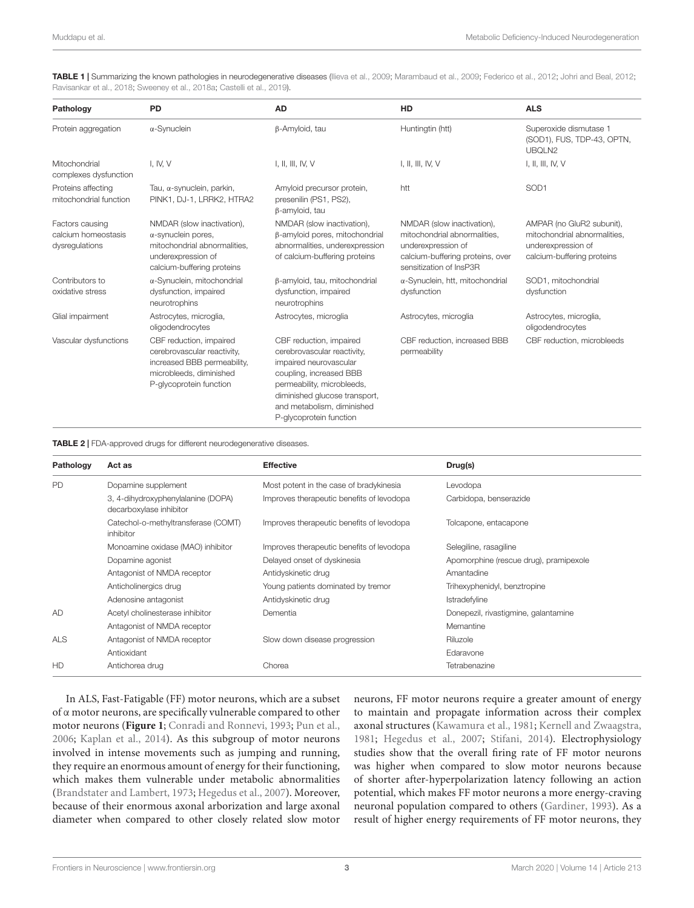TABLE 1 | Summarizing the known pathologies in neurodegenerative diseases (Ilieva et al., 2009; Marambaud et al., 2009; Federico et al., 2012; Johri and Beal, 2012; Ravisankar et al., 2018; Sweeney et al., 2018a; Castelli et al., 2019).

| Pathology                                                | <b>PD</b>                                                                                                                                    | <b>AD</b>                                                                                                                                                                                                                           | HD                                                                                                                                              | <b>ALS</b>                                                                                                    |
|----------------------------------------------------------|----------------------------------------------------------------------------------------------------------------------------------------------|-------------------------------------------------------------------------------------------------------------------------------------------------------------------------------------------------------------------------------------|-------------------------------------------------------------------------------------------------------------------------------------------------|---------------------------------------------------------------------------------------------------------------|
| Protein aggregation                                      | $\alpha$ -Synuclein                                                                                                                          | β-Amyloid, tau                                                                                                                                                                                                                      | Huntingtin (htt)                                                                                                                                | Superoxide dismutase 1<br>(SOD1), FUS, TDP-43, OPTN,<br>UBQLN2                                                |
| Mitochondrial<br>complexes dysfunction                   | I, IV, V                                                                                                                                     | I, II, III, IV, V                                                                                                                                                                                                                   | I, II, III, IV, $V$                                                                                                                             | I, II, III, IV, V                                                                                             |
| Proteins affecting<br>mitochondrial function             | Tau, α-synuclein, parkin,<br>PINK1, DJ-1, LRRK2, HTRA2                                                                                       | Amyloid precursor protein,<br>presenilin (PS1, PS2),<br>β-amyloid, tau                                                                                                                                                              | htt                                                                                                                                             | SOD <sub>1</sub>                                                                                              |
| Factors causing<br>calcium homeostasis<br>dysregulations | NMDAR (slow inactivation),<br>$\alpha$ -synuclein pores,<br>mitochondrial abnormalities,<br>underexpression of<br>calcium-buffering proteins | NMDAR (slow inactivation),<br>β-amyloid pores, mitochondrial<br>abnormalities, underexpression<br>of calcium-buffering proteins                                                                                                     | NMDAR (slow inactivation),<br>mitochondrial abnormalities.<br>underexpression of<br>calcium-buffering proteins, over<br>sensitization of InsP3R | AMPAR (no GluR2 subunit),<br>mitochondrial abnormalities,<br>underexpression of<br>calcium-buffering proteins |
| Contributors to<br>oxidative stress                      | $\alpha$ -Synuclein, mitochondrial<br>dysfunction, impaired<br>neurotrophins                                                                 | β-amyloid, tau, mitochondrial<br>dysfunction, impaired<br>neurotrophins                                                                                                                                                             | $\alpha$ -Synuclein, htt, mitochondrial<br>dysfunction                                                                                          | SOD1, mitochondrial<br>dysfunction                                                                            |
| Glial impairment                                         | Astrocytes, microglia,<br>oligodendrocytes                                                                                                   | Astrocytes, microglia                                                                                                                                                                                                               | Astrocytes, microglia                                                                                                                           | Astrocytes, microglia,<br>oligodendrocytes                                                                    |
| Vascular dysfunctions                                    | CBF reduction, impaired<br>cerebrovascular reactivity,<br>increased BBB permeability,<br>microbleeds, diminished<br>P-glycoprotein function  | CBF reduction, impaired<br>cerebrovascular reactivity,<br>impaired neurovascular<br>coupling, increased BBB<br>permeability, microbleeds,<br>diminished glucose transport,<br>and metabolism, diminished<br>P-glycoprotein function | CBF reduction, increased BBB<br>permeability                                                                                                    | CBF reduction, microbleeds                                                                                    |

TABLE 2 | FDA-approved drugs for different neurodegenerative diseases.

| Pathology  | Act as                                                        | <b>Effective</b>                          | Drug(s)                                |
|------------|---------------------------------------------------------------|-------------------------------------------|----------------------------------------|
| PD         | Dopamine supplement                                           | Most potent in the case of bradykinesia   | Levodopa                               |
|            | 3, 4-dihydroxyphenylalanine (DOPA)<br>decarboxylase inhibitor | Improves therapeutic benefits of levodopa | Carbidopa, benserazide                 |
|            | Catechol-o-methyltransferase (COMT)<br>inhibitor              | Improves therapeutic benefits of levodopa | Tolcapone, entacapone                  |
|            | Monoamine oxidase (MAO) inhibitor                             | Improves therapeutic benefits of levodopa | Selegiline, rasagiline                 |
|            | Dopamine agonist                                              | Delayed onset of dyskinesia               | Apomorphine (rescue drug), pramipexole |
|            | Antagonist of NMDA receptor                                   | Antidyskinetic drug                       | Amantadine                             |
|            | Anticholinergics drug                                         | Young patients dominated by tremor        | Trihexyphenidyl, benztropine           |
|            | Adenosine antagonist                                          | Antidyskinetic drug                       | Istradefyline                          |
| AD         | Acetyl cholinesterase inhibitor                               | Dementia                                  | Donepezil, rivastigmine, galantamine   |
|            | Antagonist of NMDA receptor                                   |                                           | Memantine                              |
| <b>ALS</b> | Antagonist of NMDA receptor                                   | Slow down disease progression             | Riluzole                               |
|            | Antioxidant                                                   |                                           | Edaravone                              |
| HD         | Antichorea drug                                               | Chorea                                    | Tetrabenazine                          |

In ALS, Fast-Fatigable (FF) motor neurons, which are a subset of α motor neurons, are specifically vulnerable compared to other motor neurons (**Figure 1**; Conradi and Ronnevi, 1993; Pun et al., 2006; Kaplan et al., 2014). As this subgroup of motor neurons involved in intense movements such as jumping and running, they require an enormous amount of energy for their functioning, which makes them vulnerable under metabolic abnormalities (Brandstater and Lambert, 1973; Hegedus et al., 2007). Moreover, because of their enormous axonal arborization and large axonal diameter when compared to other closely related slow motor

neurons, FF motor neurons require a greater amount of energy to maintain and propagate information across their complex axonal structures (Kawamura et al., 1981; Kernell and Zwaagstra, 1981; Hegedus et al., 2007; Stifani, 2014). Electrophysiology studies show that the overall firing rate of FF motor neurons was higher when compared to slow motor neurons because of shorter after-hyperpolarization latency following an action potential, which makes FF motor neurons a more energy-craving neuronal population compared to others (Gardiner, 1993). As a result of higher energy requirements of FF motor neurons, they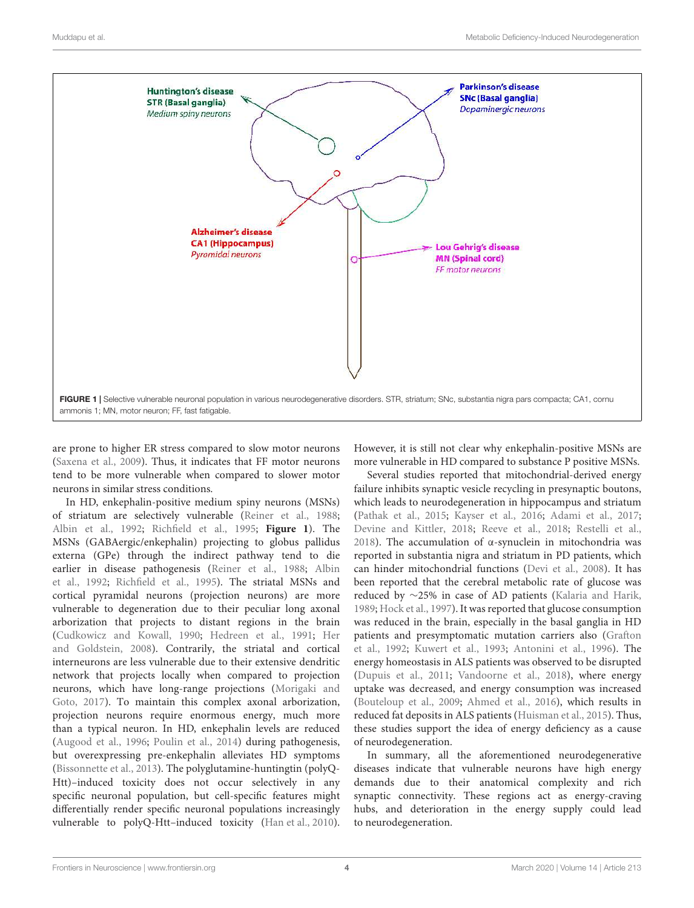

are prone to higher ER stress compared to slow motor neurons (Saxena et al., 2009). Thus, it indicates that FF motor neurons tend to be more vulnerable when compared to slower motor neurons in similar stress conditions.

In HD, enkephalin-positive medium spiny neurons (MSNs) of striatum are selectively vulnerable (Reiner et al., 1988; Albin et al., 1992; Richfield et al., 1995; **Figure 1**). The MSNs (GABAergic/enkephalin) projecting to globus pallidus externa (GPe) through the indirect pathway tend to die earlier in disease pathogenesis (Reiner et al., 1988; Albin et al., 1992; Richfield et al., 1995). The striatal MSNs and cortical pyramidal neurons (projection neurons) are more vulnerable to degeneration due to their peculiar long axonal arborization that projects to distant regions in the brain (Cudkowicz and Kowall, 1990; Hedreen et al., 1991; Her and Goldstein, 2008). Contrarily, the striatal and cortical interneurons are less vulnerable due to their extensive dendritic network that projects locally when compared to projection neurons, which have long-range projections (Morigaki and Goto, 2017). To maintain this complex axonal arborization, projection neurons require enormous energy, much more than a typical neuron. In HD, enkephalin levels are reduced (Augood et al., 1996; Poulin et al., 2014) during pathogenesis, but overexpressing pre-enkephalin alleviates HD symptoms (Bissonnette et al., 2013). The polyglutamine-huntingtin (polyQ-Htt)–induced toxicity does not occur selectively in any specific neuronal population, but cell-specific features might differentially render specific neuronal populations increasingly vulnerable to polyQ-Htt–induced toxicity (Han et al., 2010).

However, it is still not clear why enkephalin-positive MSNs are more vulnerable in HD compared to substance P positive MSNs.

Several studies reported that mitochondrial-derived energy failure inhibits synaptic vesicle recycling in presynaptic boutons, which leads to neurodegeneration in hippocampus and striatum (Pathak et al., 2015; Kayser et al., 2016; Adami et al., 2017; Devine and Kittler, 2018; Reeve et al., 2018; Restelli et al., 2018). The accumulation of α-synuclein in mitochondria was reported in substantia nigra and striatum in PD patients, which can hinder mitochondrial functions (Devi et al., 2008). It has been reported that the cerebral metabolic rate of glucose was reduced by ∼25% in case of AD patients (Kalaria and Harik, 1989; Hock et al., 1997). It was reported that glucose consumption was reduced in the brain, especially in the basal ganglia in HD patients and presymptomatic mutation carriers also (Grafton et al., 1992; Kuwert et al., 1993; Antonini et al., 1996). The energy homeostasis in ALS patients was observed to be disrupted (Dupuis et al., 2011; Vandoorne et al., 2018), where energy uptake was decreased, and energy consumption was increased (Bouteloup et al., 2009; Ahmed et al., 2016), which results in reduced fat deposits in ALS patients (Huisman et al., 2015). Thus, these studies support the idea of energy deficiency as a cause of neurodegeneration.

In summary, all the aforementioned neurodegenerative diseases indicate that vulnerable neurons have high energy demands due to their anatomical complexity and rich synaptic connectivity. These regions act as energy-craving hubs, and deterioration in the energy supply could lead to neurodegeneration.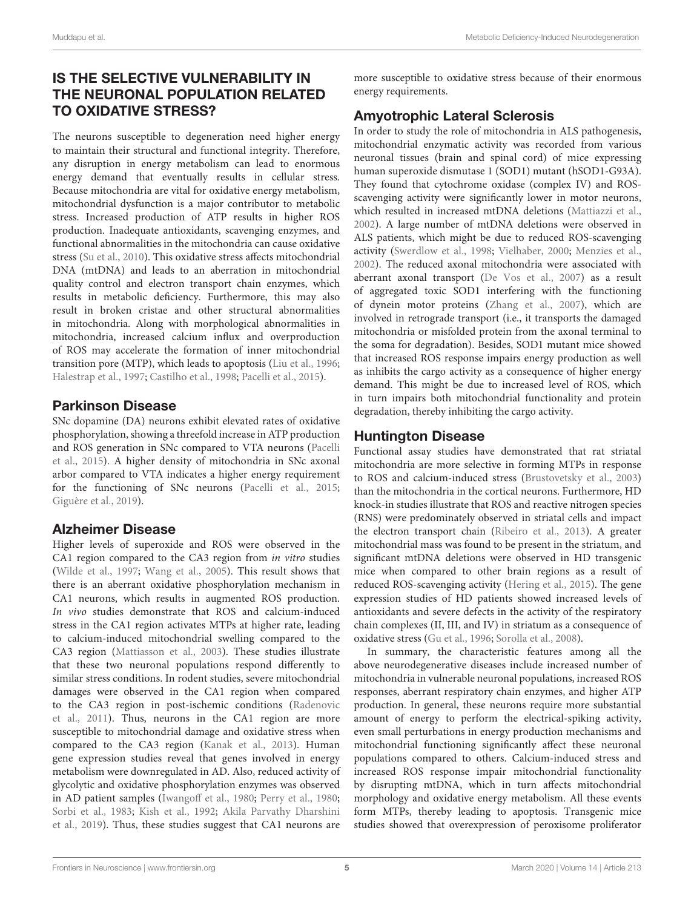# IS THE SELECTIVE VULNERABILITY IN THE NEURONAL POPULATION RELATED TO OXIDATIVE STRESS?

The neurons susceptible to degeneration need higher energy to maintain their structural and functional integrity. Therefore, any disruption in energy metabolism can lead to enormous energy demand that eventually results in cellular stress. Because mitochondria are vital for oxidative energy metabolism, mitochondrial dysfunction is a major contributor to metabolic stress. Increased production of ATP results in higher ROS production. Inadequate antioxidants, scavenging enzymes, and functional abnormalities in the mitochondria can cause oxidative stress (Su et al., 2010). This oxidative stress affects mitochondrial DNA (mtDNA) and leads to an aberration in mitochondrial quality control and electron transport chain enzymes, which results in metabolic deficiency. Furthermore, this may also result in broken cristae and other structural abnormalities in mitochondria. Along with morphological abnormalities in mitochondria, increased calcium influx and overproduction of ROS may accelerate the formation of inner mitochondrial transition pore (MTP), which leads to apoptosis (Liu et al., 1996; Halestrap et al., 1997; Castilho et al., 1998; Pacelli et al., 2015).

## Parkinson Disease

SNc dopamine (DA) neurons exhibit elevated rates of oxidative phosphorylation, showing a threefold increase in ATP production and ROS generation in SNc compared to VTA neurons (Pacelli et al., 2015). A higher density of mitochondria in SNc axonal arbor compared to VTA indicates a higher energy requirement for the functioning of SNc neurons (Pacelli et al., 2015; Giguère et al., 2019).

## Alzheimer Disease

Higher levels of superoxide and ROS were observed in the CA1 region compared to the CA3 region from in vitro studies (Wilde et al., 1997; Wang et al., 2005). This result shows that there is an aberrant oxidative phosphorylation mechanism in CA1 neurons, which results in augmented ROS production. In vivo studies demonstrate that ROS and calcium-induced stress in the CA1 region activates MTPs at higher rate, leading to calcium-induced mitochondrial swelling compared to the CA3 region (Mattiasson et al., 2003). These studies illustrate that these two neuronal populations respond differently to similar stress conditions. In rodent studies, severe mitochondrial damages were observed in the CA1 region when compared to the CA3 region in post-ischemic conditions (Radenovic et al., 2011). Thus, neurons in the CA1 region are more susceptible to mitochondrial damage and oxidative stress when compared to the CA3 region (Kanak et al., 2013). Human gene expression studies reveal that genes involved in energy metabolism were downregulated in AD. Also, reduced activity of glycolytic and oxidative phosphorylation enzymes was observed in AD patient samples (Iwangoff et al., 1980; Perry et al., 1980; Sorbi et al., 1983; Kish et al., 1992; Akila Parvathy Dharshini et al., 2019). Thus, these studies suggest that CA1 neurons are

more susceptible to oxidative stress because of their enormous energy requirements.

# Amyotrophic Lateral Sclerosis

In order to study the role of mitochondria in ALS pathogenesis, mitochondrial enzymatic activity was recorded from various neuronal tissues (brain and spinal cord) of mice expressing human superoxide dismutase 1 (SOD1) mutant (hSOD1-G93A). They found that cytochrome oxidase (complex IV) and ROSscavenging activity were significantly lower in motor neurons, which resulted in increased mtDNA deletions (Mattiazzi et al., 2002). A large number of mtDNA deletions were observed in ALS patients, which might be due to reduced ROS-scavenging activity (Swerdlow et al., 1998; Vielhaber, 2000; Menzies et al., 2002). The reduced axonal mitochondria were associated with aberrant axonal transport (De Vos et al., 2007) as a result of aggregated toxic SOD1 interfering with the functioning of dynein motor proteins (Zhang et al., 2007), which are involved in retrograde transport (i.e., it transports the damaged mitochondria or misfolded protein from the axonal terminal to the soma for degradation). Besides, SOD1 mutant mice showed that increased ROS response impairs energy production as well as inhibits the cargo activity as a consequence of higher energy demand. This might be due to increased level of ROS, which in turn impairs both mitochondrial functionality and protein degradation, thereby inhibiting the cargo activity.

## Huntington Disease

Functional assay studies have demonstrated that rat striatal mitochondria are more selective in forming MTPs in response to ROS and calcium-induced stress (Brustovetsky et al., 2003) than the mitochondria in the cortical neurons. Furthermore, HD knock-in studies illustrate that ROS and reactive nitrogen species (RNS) were predominately observed in striatal cells and impact the electron transport chain (Ribeiro et al., 2013). A greater mitochondrial mass was found to be present in the striatum, and significant mtDNA deletions were observed in HD transgenic mice when compared to other brain regions as a result of reduced ROS-scavenging activity (Hering et al., 2015). The gene expression studies of HD patients showed increased levels of antioxidants and severe defects in the activity of the respiratory chain complexes (II, III, and IV) in striatum as a consequence of oxidative stress (Gu et al., 1996; Sorolla et al., 2008).

In summary, the characteristic features among all the above neurodegenerative diseases include increased number of mitochondria in vulnerable neuronal populations, increased ROS responses, aberrant respiratory chain enzymes, and higher ATP production. In general, these neurons require more substantial amount of energy to perform the electrical-spiking activity, even small perturbations in energy production mechanisms and mitochondrial functioning significantly affect these neuronal populations compared to others. Calcium-induced stress and increased ROS response impair mitochondrial functionality by disrupting mtDNA, which in turn affects mitochondrial morphology and oxidative energy metabolism. All these events form MTPs, thereby leading to apoptosis. Transgenic mice studies showed that overexpression of peroxisome proliferator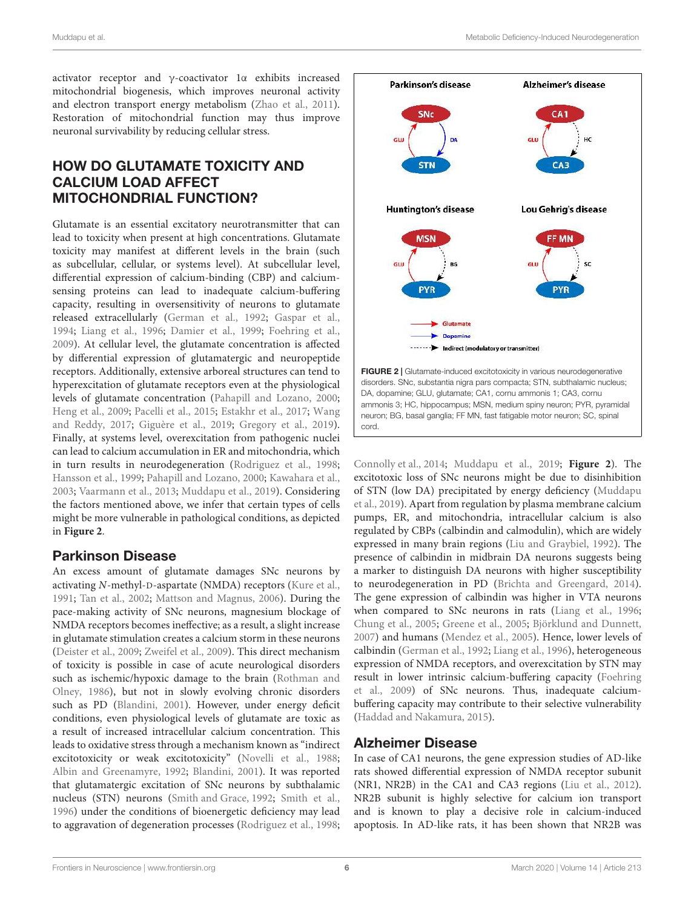activator receptor and γ-coactivator 1α exhibits increased mitochondrial biogenesis, which improves neuronal activity and electron transport energy metabolism (Zhao et al., 2011). Restoration of mitochondrial function may thus improve neuronal survivability by reducing cellular stress.

## HOW DO GLUTAMATE TOXICITY AND CALCIUM LOAD AFFECT MITOCHONDRIAL FUNCTION?

Glutamate is an essential excitatory neurotransmitter that can lead to toxicity when present at high concentrations. Glutamate toxicity may manifest at different levels in the brain (such as subcellular, cellular, or systems level). At subcellular level, differential expression of calcium-binding (CBP) and calciumsensing proteins can lead to inadequate calcium-buffering capacity, resulting in oversensitivity of neurons to glutamate released extracellularly (German et al., 1992; Gaspar et al., 1994; Liang et al., 1996; Damier et al., 1999; Foehring et al., 2009). At cellular level, the glutamate concentration is affected by differential expression of glutamatergic and neuropeptide receptors. Additionally, extensive arboreal structures can tend to hyperexcitation of glutamate receptors even at the physiological levels of glutamate concentration (Pahapill and Lozano, 2000; Heng et al., 2009; Pacelli et al., 2015; Estakhr et al., 2017; Wang and Reddy, 2017; Giguère et al., 2019; Gregory et al., 2019). Finally, at systems level, overexcitation from pathogenic nuclei can lead to calcium accumulation in ER and mitochondria, which in turn results in neurodegeneration (Rodriguez et al., 1998; Hansson et al., 1999; Pahapill and Lozano, 2000; Kawahara et al., 2003; Vaarmann et al., 2013; Muddapu et al., 2019). Considering the factors mentioned above, we infer that certain types of cells might be more vulnerable in pathological conditions, as depicted in **Figure 2**.

## Parkinson Disease

An excess amount of glutamate damages SNc neurons by activating N-methyl-D-aspartate (NMDA) receptors (Kure et al., 1991; Tan et al., 2002; Mattson and Magnus, 2006). During the pace-making activity of SNc neurons, magnesium blockage of NMDA receptors becomes ineffective; as a result, a slight increase in glutamate stimulation creates a calcium storm in these neurons (Deister et al., 2009; Zweifel et al., 2009). This direct mechanism of toxicity is possible in case of acute neurological disorders such as ischemic/hypoxic damage to the brain (Rothman and Olney, 1986), but not in slowly evolving chronic disorders such as PD (Blandini, 2001). However, under energy deficit conditions, even physiological levels of glutamate are toxic as a result of increased intracellular calcium concentration. This leads to oxidative stress through a mechanism known as "indirect excitotoxicity or weak excitotoxicity" (Novelli et al., 1988; Albin and Greenamyre, 1992; Blandini, 2001). It was reported that glutamatergic excitation of SNc neurons by subthalamic nucleus (STN) neurons (Smith and Grace, 1992; Smith et al., 1996) under the conditions of bioenergetic deficiency may lead to aggravation of degeneration processes (Rodriguez et al., 1998;





Connolly et al., 2014; Muddapu et al., 2019; **Figure 2**). The excitotoxic loss of SNc neurons might be due to disinhibition of STN (low DA) precipitated by energy deficiency (Muddapu et al., 2019). Apart from regulation by plasma membrane calcium pumps, ER, and mitochondria, intracellular calcium is also regulated by CBPs (calbindin and calmodulin), which are widely expressed in many brain regions (Liu and Graybiel, 1992). The presence of calbindin in midbrain DA neurons suggests being a marker to distinguish DA neurons with higher susceptibility to neurodegeneration in PD (Brichta and Greengard, 2014). The gene expression of calbindin was higher in VTA neurons when compared to SNc neurons in rats (Liang et al., 1996; Chung et al., 2005; Greene et al., 2005; Björklund and Dunnett, 2007) and humans (Mendez et al., 2005). Hence, lower levels of calbindin (German et al., 1992; Liang et al., 1996), heterogeneous expression of NMDA receptors, and overexcitation by STN may result in lower intrinsic calcium-buffering capacity (Foehring et al., 2009) of SNc neurons. Thus, inadequate calciumbuffering capacity may contribute to their selective vulnerability (Haddad and Nakamura, 2015).

### Alzheimer Disease

In case of CA1 neurons, the gene expression studies of AD-like rats showed differential expression of NMDA receptor subunit (NR1, NR2B) in the CA1 and CA3 regions (Liu et al., 2012). NR2B subunit is highly selective for calcium ion transport and is known to play a decisive role in calcium-induced apoptosis. In AD-like rats, it has been shown that NR2B was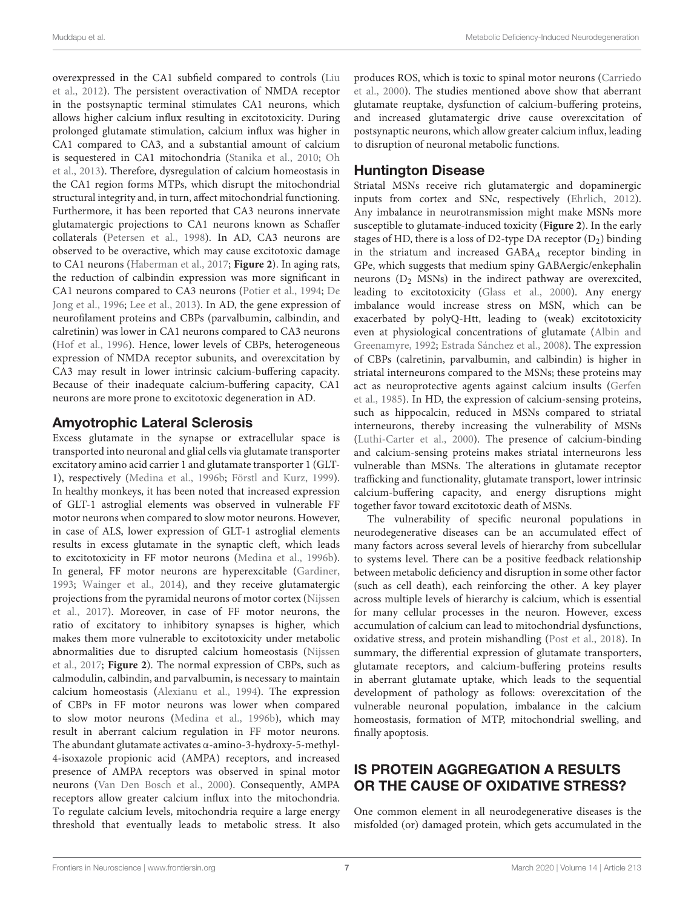overexpressed in the CA1 subfield compared to controls (Liu et al., 2012). The persistent overactivation of NMDA receptor in the postsynaptic terminal stimulates CA1 neurons, which allows higher calcium influx resulting in excitotoxicity. During prolonged glutamate stimulation, calcium influx was higher in CA1 compared to CA3, and a substantial amount of calcium is sequestered in CA1 mitochondria (Stanika et al., 2010; Oh et al., 2013). Therefore, dysregulation of calcium homeostasis in the CA1 region forms MTPs, which disrupt the mitochondrial structural integrity and, in turn, affect mitochondrial functioning. Furthermore, it has been reported that CA3 neurons innervate glutamatergic projections to CA1 neurons known as Schaffer collaterals (Petersen et al., 1998). In AD, CA3 neurons are observed to be overactive, which may cause excitotoxic damage to CA1 neurons (Haberman et al., 2017; **Figure 2**). In aging rats, the reduction of calbindin expression was more significant in CA1 neurons compared to CA3 neurons (Potier et al., 1994; De Jong et al., 1996; Lee et al., 2013). In AD, the gene expression of neurofilament proteins and CBPs (parvalbumin, calbindin, and calretinin) was lower in CA1 neurons compared to CA3 neurons (Hof et al., 1996). Hence, lower levels of CBPs, heterogeneous expression of NMDA receptor subunits, and overexcitation by CA3 may result in lower intrinsic calcium-buffering capacity. Because of their inadequate calcium-buffering capacity, CA1 neurons are more prone to excitotoxic degeneration in AD.

## Amyotrophic Lateral Sclerosis

Excess glutamate in the synapse or extracellular space is transported into neuronal and glial cells via glutamate transporter excitatory amino acid carrier 1 and glutamate transporter 1 (GLT-1), respectively (Medina et al., 1996b; Förstl and Kurz, 1999). In healthy monkeys, it has been noted that increased expression of GLT-1 astroglial elements was observed in vulnerable FF motor neurons when compared to slow motor neurons. However, in case of ALS, lower expression of GLT-1 astroglial elements results in excess glutamate in the synaptic cleft, which leads to excitotoxicity in FF motor neurons (Medina et al., 1996b). In general, FF motor neurons are hyperexcitable (Gardiner, 1993; Wainger et al., 2014), and they receive glutamatergic projections from the pyramidal neurons of motor cortex (Nijssen et al., 2017). Moreover, in case of FF motor neurons, the ratio of excitatory to inhibitory synapses is higher, which makes them more vulnerable to excitotoxicity under metabolic abnormalities due to disrupted calcium homeostasis (Nijssen et al., 2017; **Figure 2**). The normal expression of CBPs, such as calmodulin, calbindin, and parvalbumin, is necessary to maintain calcium homeostasis (Alexianu et al., 1994). The expression of CBPs in FF motor neurons was lower when compared to slow motor neurons (Medina et al., 1996b), which may result in aberrant calcium regulation in FF motor neurons. The abundant glutamate activates α-amino-3-hydroxy-5-methyl-4-isoxazole propionic acid (AMPA) receptors, and increased presence of AMPA receptors was observed in spinal motor neurons (Van Den Bosch et al., 2000). Consequently, AMPA receptors allow greater calcium influx into the mitochondria. To regulate calcium levels, mitochondria require a large energy threshold that eventually leads to metabolic stress. It also

produces ROS, which is toxic to spinal motor neurons (Carriedo et al., 2000). The studies mentioned above show that aberrant glutamate reuptake, dysfunction of calcium-buffering proteins, and increased glutamatergic drive cause overexcitation of postsynaptic neurons, which allow greater calcium influx, leading to disruption of neuronal metabolic functions.

## Huntington Disease

Striatal MSNs receive rich glutamatergic and dopaminergic inputs from cortex and SNc, respectively (Ehrlich, 2012). Any imbalance in neurotransmission might make MSNs more susceptible to glutamate-induced toxicity (**Figure 2**). In the early stages of HD, there is a loss of D2-type DA receptor  $(D_2)$  binding in the striatum and increased GABAA receptor binding in GPe, which suggests that medium spiny GABAergic/enkephalin neurons  $(D_2$  MSNs) in the indirect pathway are overexcited, leading to excitotoxicity (Glass et al., 2000). Any energy imbalance would increase stress on MSN, which can be exacerbated by polyQ-Htt, leading to (weak) excitotoxicity even at physiological concentrations of glutamate (Albin and Greenamyre, 1992; Estrada Sánchez et al., 2008). The expression of CBPs (calretinin, parvalbumin, and calbindin) is higher in striatal interneurons compared to the MSNs; these proteins may act as neuroprotective agents against calcium insults (Gerfen et al., 1985). In HD, the expression of calcium-sensing proteins, such as hippocalcin, reduced in MSNs compared to striatal interneurons, thereby increasing the vulnerability of MSNs (Luthi-Carter et al., 2000). The presence of calcium-binding and calcium-sensing proteins makes striatal interneurons less vulnerable than MSNs. The alterations in glutamate receptor trafficking and functionality, glutamate transport, lower intrinsic calcium-buffering capacity, and energy disruptions might together favor toward excitotoxic death of MSNs.

The vulnerability of specific neuronal populations in neurodegenerative diseases can be an accumulated effect of many factors across several levels of hierarchy from subcellular to systems level. There can be a positive feedback relationship between metabolic deficiency and disruption in some other factor (such as cell death), each reinforcing the other. A key player across multiple levels of hierarchy is calcium, which is essential for many cellular processes in the neuron. However, excess accumulation of calcium can lead to mitochondrial dysfunctions, oxidative stress, and protein mishandling (Post et al., 2018). In summary, the differential expression of glutamate transporters, glutamate receptors, and calcium-buffering proteins results in aberrant glutamate uptake, which leads to the sequential development of pathology as follows: overexcitation of the vulnerable neuronal population, imbalance in the calcium homeostasis, formation of MTP, mitochondrial swelling, and finally apoptosis.

## IS PROTEIN AGGREGATION A RESULTS OR THE CAUSE OF OXIDATIVE STRESS?

One common element in all neurodegenerative diseases is the misfolded (or) damaged protein, which gets accumulated in the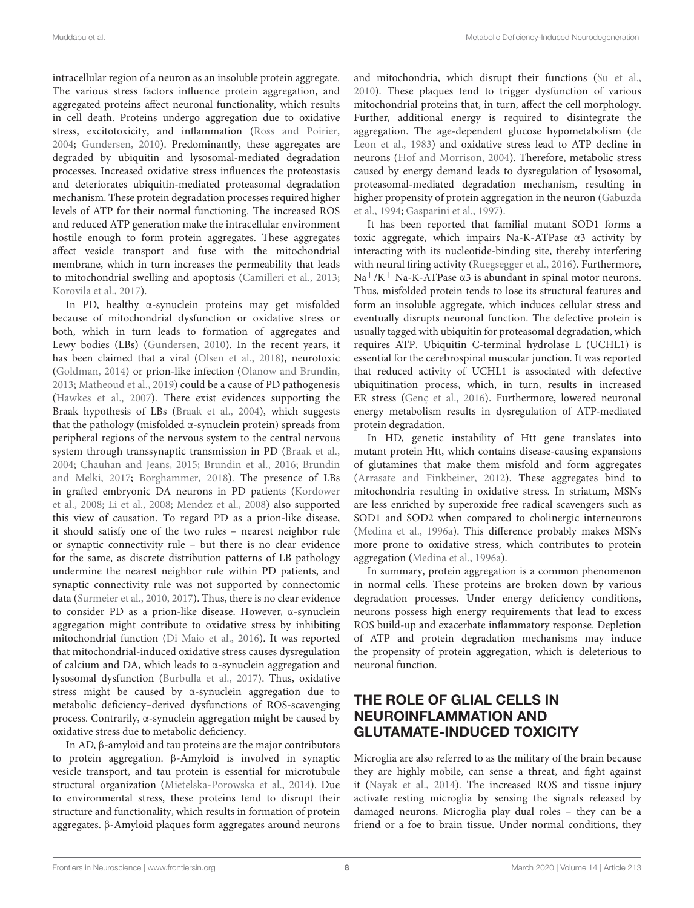intracellular region of a neuron as an insoluble protein aggregate. The various stress factors influence protein aggregation, and aggregated proteins affect neuronal functionality, which results in cell death. Proteins undergo aggregation due to oxidative stress, excitotoxicity, and inflammation (Ross and Poirier, 2004; Gundersen, 2010). Predominantly, these aggregates are degraded by ubiquitin and lysosomal-mediated degradation processes. Increased oxidative stress influences the proteostasis and deteriorates ubiquitin-mediated proteasomal degradation mechanism. These protein degradation processes required higher levels of ATP for their normal functioning. The increased ROS and reduced ATP generation make the intracellular environment hostile enough to form protein aggregates. These aggregates affect vesicle transport and fuse with the mitochondrial membrane, which in turn increases the permeability that leads to mitochondrial swelling and apoptosis (Camilleri et al., 2013; Korovila et al., 2017).

In PD, healthy α-synuclein proteins may get misfolded because of mitochondrial dysfunction or oxidative stress or both, which in turn leads to formation of aggregates and Lewy bodies (LBs) (Gundersen, 2010). In the recent years, it has been claimed that a viral (Olsen et al., 2018), neurotoxic (Goldman, 2014) or prion-like infection (Olanow and Brundin, 2013; Matheoud et al., 2019) could be a cause of PD pathogenesis (Hawkes et al., 2007). There exist evidences supporting the Braak hypothesis of LBs (Braak et al., 2004), which suggests that the pathology (misfolded α-synuclein protein) spreads from peripheral regions of the nervous system to the central nervous system through transsynaptic transmission in PD (Braak et al., 2004; Chauhan and Jeans, 2015; Brundin et al., 2016; Brundin and Melki, 2017; Borghammer, 2018). The presence of LBs in grafted embryonic DA neurons in PD patients (Kordower et al., 2008; Li et al., 2008; Mendez et al., 2008) also supported this view of causation. To regard PD as a prion-like disease, it should satisfy one of the two rules – nearest neighbor rule or synaptic connectivity rule – but there is no clear evidence for the same, as discrete distribution patterns of LB pathology undermine the nearest neighbor rule within PD patients, and synaptic connectivity rule was not supported by connectomic data (Surmeier et al., 2010, 2017). Thus, there is no clear evidence to consider PD as a prion-like disease. However, α-synuclein aggregation might contribute to oxidative stress by inhibiting mitochondrial function (Di Maio et al., 2016). It was reported that mitochondrial-induced oxidative stress causes dysregulation of calcium and DA, which leads to α-synuclein aggregation and lysosomal dysfunction (Burbulla et al., 2017). Thus, oxidative stress might be caused by α-synuclein aggregation due to metabolic deficiency–derived dysfunctions of ROS-scavenging process. Contrarily, α-synuclein aggregation might be caused by oxidative stress due to metabolic deficiency.

In AD, β-amyloid and tau proteins are the major contributors to protein aggregation. β-Amyloid is involved in synaptic vesicle transport, and tau protein is essential for microtubule structural organization (Mietelska-Porowska et al., 2014). Due to environmental stress, these proteins tend to disrupt their structure and functionality, which results in formation of protein aggregates. β-Amyloid plaques form aggregates around neurons

and mitochondria, which disrupt their functions (Su et al., 2010). These plaques tend to trigger dysfunction of various mitochondrial proteins that, in turn, affect the cell morphology. Further, additional energy is required to disintegrate the aggregation. The age-dependent glucose hypometabolism (de Leon et al., 1983) and oxidative stress lead to ATP decline in neurons (Hof and Morrison, 2004). Therefore, metabolic stress caused by energy demand leads to dysregulation of lysosomal, proteasomal-mediated degradation mechanism, resulting in higher propensity of protein aggregation in the neuron (Gabuzda et al., 1994; Gasparini et al., 1997).

It has been reported that familial mutant SOD1 forms a toxic aggregate, which impairs Na-K-ATPase α3 activity by interacting with its nucleotide-binding site, thereby interfering with neural firing activity (Ruegsegger et al., 2016). Furthermore, Na<sup>+</sup>/K<sup>+</sup> Na-K-ATPase  $\alpha$ 3 is abundant in spinal motor neurons. Thus, misfolded protein tends to lose its structural features and form an insoluble aggregate, which induces cellular stress and eventually disrupts neuronal function. The defective protein is usually tagged with ubiquitin for proteasomal degradation, which requires ATP. Ubiquitin C-terminal hydrolase L (UCHL1) is essential for the cerebrospinal muscular junction. It was reported that reduced activity of UCHL1 is associated with defective ubiquitination process, which, in turn, results in increased ER stress (Genç et al., 2016). Furthermore, lowered neuronal energy metabolism results in dysregulation of ATP-mediated protein degradation.

In HD, genetic instability of Htt gene translates into mutant protein Htt, which contains disease-causing expansions of glutamines that make them misfold and form aggregates (Arrasate and Finkbeiner, 2012). These aggregates bind to mitochondria resulting in oxidative stress. In striatum, MSNs are less enriched by superoxide free radical scavengers such as SOD1 and SOD2 when compared to cholinergic interneurons (Medina et al., 1996a). This difference probably makes MSNs more prone to oxidative stress, which contributes to protein aggregation (Medina et al., 1996a).

In summary, protein aggregation is a common phenomenon in normal cells. These proteins are broken down by various degradation processes. Under energy deficiency conditions, neurons possess high energy requirements that lead to excess ROS build-up and exacerbate inflammatory response. Depletion of ATP and protein degradation mechanisms may induce the propensity of protein aggregation, which is deleterious to neuronal function.

## THE ROLE OF GLIAL CELLS IN NEUROINFLAMMATION AND GLUTAMATE-INDUCED TOXICITY

Microglia are also referred to as the military of the brain because they are highly mobile, can sense a threat, and fight against it (Nayak et al., 2014). The increased ROS and tissue injury activate resting microglia by sensing the signals released by damaged neurons. Microglia play dual roles – they can be a friend or a foe to brain tissue. Under normal conditions, they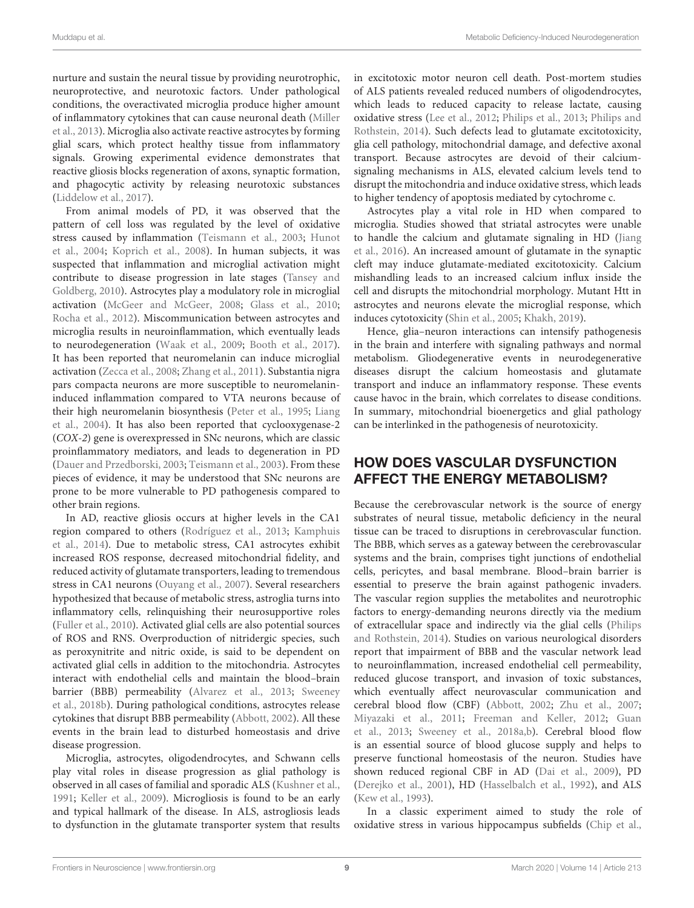nurture and sustain the neural tissue by providing neurotrophic, neuroprotective, and neurotoxic factors. Under pathological conditions, the overactivated microglia produce higher amount of inflammatory cytokines that can cause neuronal death (Miller et al., 2013). Microglia also activate reactive astrocytes by forming glial scars, which protect healthy tissue from inflammatory signals. Growing experimental evidence demonstrates that reactive gliosis blocks regeneration of axons, synaptic formation, and phagocytic activity by releasing neurotoxic substances (Liddelow et al., 2017).

From animal models of PD, it was observed that the pattern of cell loss was regulated by the level of oxidative stress caused by inflammation (Teismann et al., 2003; Hunot et al., 2004; Koprich et al., 2008). In human subjects, it was suspected that inflammation and microglial activation might contribute to disease progression in late stages (Tansey and Goldberg, 2010). Astrocytes play a modulatory role in microglial activation (McGeer and McGeer, 2008; Glass et al., 2010; Rocha et al., 2012). Miscommunication between astrocytes and microglia results in neuroinflammation, which eventually leads to neurodegeneration (Waak et al., 2009; Booth et al., 2017). It has been reported that neuromelanin can induce microglial activation (Zecca et al., 2008; Zhang et al., 2011). Substantia nigra pars compacta neurons are more susceptible to neuromelanininduced inflammation compared to VTA neurons because of their high neuromelanin biosynthesis (Peter et al., 1995; Liang et al., 2004). It has also been reported that cyclooxygenase-2 (COX-2) gene is overexpressed in SNc neurons, which are classic proinflammatory mediators, and leads to degeneration in PD (Dauer and Przedborski, 2003; Teismann et al., 2003). From these pieces of evidence, it may be understood that SNc neurons are prone to be more vulnerable to PD pathogenesis compared to other brain regions.

In AD, reactive gliosis occurs at higher levels in the CA1 region compared to others (Rodríguez et al., 2013; Kamphuis et al., 2014). Due to metabolic stress, CA1 astrocytes exhibit increased ROS response, decreased mitochondrial fidelity, and reduced activity of glutamate transporters, leading to tremendous stress in CA1 neurons (Ouyang et al., 2007). Several researchers hypothesized that because of metabolic stress, astroglia turns into inflammatory cells, relinquishing their neurosupportive roles (Fuller et al., 2010). Activated glial cells are also potential sources of ROS and RNS. Overproduction of nitridergic species, such as peroxynitrite and nitric oxide, is said to be dependent on activated glial cells in addition to the mitochondria. Astrocytes interact with endothelial cells and maintain the blood–brain barrier (BBB) permeability (Alvarez et al., 2013; Sweeney et al., 2018b). During pathological conditions, astrocytes release cytokines that disrupt BBB permeability (Abbott, 2002). All these events in the brain lead to disturbed homeostasis and drive disease progression.

Microglia, astrocytes, oligodendrocytes, and Schwann cells play vital roles in disease progression as glial pathology is observed in all cases of familial and sporadic ALS (Kushner et al., 1991; Keller et al., 2009). Microgliosis is found to be an early and typical hallmark of the disease. In ALS, astrogliosis leads to dysfunction in the glutamate transporter system that results

in excitotoxic motor neuron cell death. Post-mortem studies of ALS patients revealed reduced numbers of oligodendrocytes, which leads to reduced capacity to release lactate, causing oxidative stress (Lee et al., 2012; Philips et al., 2013; Philips and Rothstein, 2014). Such defects lead to glutamate excitotoxicity, glia cell pathology, mitochondrial damage, and defective axonal transport. Because astrocytes are devoid of their calciumsignaling mechanisms in ALS, elevated calcium levels tend to disrupt the mitochondria and induce oxidative stress, which leads to higher tendency of apoptosis mediated by cytochrome c.

Astrocytes play a vital role in HD when compared to microglia. Studies showed that striatal astrocytes were unable to handle the calcium and glutamate signaling in HD (Jiang et al., 2016). An increased amount of glutamate in the synaptic cleft may induce glutamate-mediated excitotoxicity. Calcium mishandling leads to an increased calcium influx inside the cell and disrupts the mitochondrial morphology. Mutant Htt in astrocytes and neurons elevate the microglial response, which induces cytotoxicity (Shin et al., 2005; Khakh, 2019).

Hence, glia–neuron interactions can intensify pathogenesis in the brain and interfere with signaling pathways and normal metabolism. Gliodegenerative events in neurodegenerative diseases disrupt the calcium homeostasis and glutamate transport and induce an inflammatory response. These events cause havoc in the brain, which correlates to disease conditions. In summary, mitochondrial bioenergetics and glial pathology can be interlinked in the pathogenesis of neurotoxicity.

## HOW DOES VASCULAR DYSFUNCTION AFFECT THE ENERGY METABOLISM?

Because the cerebrovascular network is the source of energy substrates of neural tissue, metabolic deficiency in the neural tissue can be traced to disruptions in cerebrovascular function. The BBB, which serves as a gateway between the cerebrovascular systems and the brain, comprises tight junctions of endothelial cells, pericytes, and basal membrane. Blood–brain barrier is essential to preserve the brain against pathogenic invaders. The vascular region supplies the metabolites and neurotrophic factors to energy-demanding neurons directly via the medium of extracellular space and indirectly via the glial cells (Philips and Rothstein, 2014). Studies on various neurological disorders report that impairment of BBB and the vascular network lead to neuroinflammation, increased endothelial cell permeability, reduced glucose transport, and invasion of toxic substances, which eventually affect neurovascular communication and cerebral blood flow (CBF) (Abbott, 2002; Zhu et al., 2007; Miyazaki et al., 2011; Freeman and Keller, 2012; Guan et al., 2013; Sweeney et al., 2018a,b). Cerebral blood flow is an essential source of blood glucose supply and helps to preserve functional homeostasis of the neuron. Studies have shown reduced regional CBF in AD (Dai et al., 2009), PD (Derejko et al., 2001), HD (Hasselbalch et al., 1992), and ALS (Kew et al., 1993).

In a classic experiment aimed to study the role of oxidative stress in various hippocampus subfields (Chip et al.,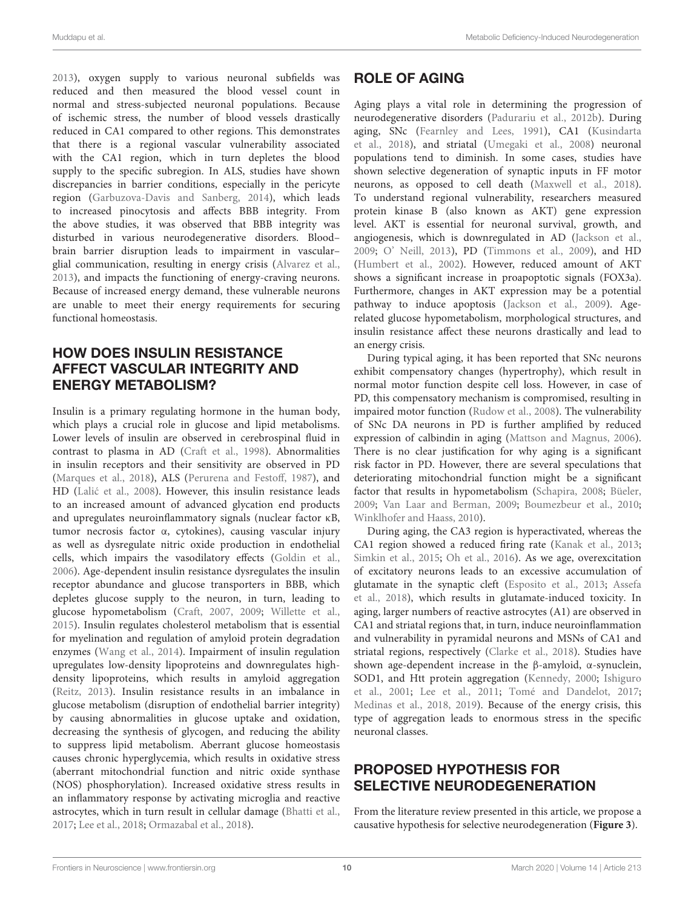2013), oxygen supply to various neuronal subfields was reduced and then measured the blood vessel count in normal and stress-subjected neuronal populations. Because of ischemic stress, the number of blood vessels drastically reduced in CA1 compared to other regions. This demonstrates that there is a regional vascular vulnerability associated with the CA1 region, which in turn depletes the blood supply to the specific subregion. In ALS, studies have shown discrepancies in barrier conditions, especially in the pericyte region (Garbuzova-Davis and Sanberg, 2014), which leads to increased pinocytosis and affects BBB integrity. From the above studies, it was observed that BBB integrity was disturbed in various neurodegenerative disorders. Blood– brain barrier disruption leads to impairment in vascular– glial communication, resulting in energy crisis (Alvarez et al., 2013), and impacts the functioning of energy-craving neurons. Because of increased energy demand, these vulnerable neurons are unable to meet their energy requirements for securing functional homeostasis.

## HOW DOES INSULIN RESISTANCE AFFECT VASCULAR INTEGRITY AND ENERGY METABOLISM?

Insulin is a primary regulating hormone in the human body, which plays a crucial role in glucose and lipid metabolisms. Lower levels of insulin are observed in cerebrospinal fluid in contrast to plasma in AD (Craft et al., 1998). Abnormalities in insulin receptors and their sensitivity are observed in PD (Marques et al., 2018), ALS (Perurena and Festoff, 1987), and HD (Lalić et al., 2008). However, this insulin resistance leads to an increased amount of advanced glycation end products and upregulates neuroinflammatory signals (nuclear factor κB, tumor necrosis factor α, cytokines), causing vascular injury as well as dysregulate nitric oxide production in endothelial cells, which impairs the vasodilatory effects (Goldin et al., 2006). Age-dependent insulin resistance dysregulates the insulin receptor abundance and glucose transporters in BBB, which depletes glucose supply to the neuron, in turn, leading to glucose hypometabolism (Craft, 2007, 2009; Willette et al., 2015). Insulin regulates cholesterol metabolism that is essential for myelination and regulation of amyloid protein degradation enzymes (Wang et al., 2014). Impairment of insulin regulation upregulates low-density lipoproteins and downregulates highdensity lipoproteins, which results in amyloid aggregation (Reitz, 2013). Insulin resistance results in an imbalance in glucose metabolism (disruption of endothelial barrier integrity) by causing abnormalities in glucose uptake and oxidation, decreasing the synthesis of glycogen, and reducing the ability to suppress lipid metabolism. Aberrant glucose homeostasis causes chronic hyperglycemia, which results in oxidative stress (aberrant mitochondrial function and nitric oxide synthase (NOS) phosphorylation). Increased oxidative stress results in an inflammatory response by activating microglia and reactive astrocytes, which in turn result in cellular damage (Bhatti et al., 2017; Lee et al., 2018; Ormazabal et al., 2018).

## ROLE OF AGING

Aging plays a vital role in determining the progression of neurodegenerative disorders (Padurariu et al., 2012b). During aging, SNc (Fearnley and Lees, 1991), CA1 (Kusindarta et al., 2018), and striatal (Umegaki et al., 2008) neuronal populations tend to diminish. In some cases, studies have shown selective degeneration of synaptic inputs in FF motor neurons, as opposed to cell death (Maxwell et al., 2018). To understand regional vulnerability, researchers measured protein kinase B (also known as AKT) gene expression level. AKT is essential for neuronal survival, growth, and angiogenesis, which is downregulated in AD (Jackson et al., 2009; O' Neill, 2013), PD (Timmons et al., 2009), and HD (Humbert et al., 2002). However, reduced amount of AKT shows a significant increase in proapoptotic signals (FOX3a). Furthermore, changes in AKT expression may be a potential pathway to induce apoptosis (Jackson et al., 2009). Agerelated glucose hypometabolism, morphological structures, and insulin resistance affect these neurons drastically and lead to an energy crisis.

During typical aging, it has been reported that SNc neurons exhibit compensatory changes (hypertrophy), which result in normal motor function despite cell loss. However, in case of PD, this compensatory mechanism is compromised, resulting in impaired motor function (Rudow et al., 2008). The vulnerability of SNc DA neurons in PD is further amplified by reduced expression of calbindin in aging (Mattson and Magnus, 2006). There is no clear justification for why aging is a significant risk factor in PD. However, there are several speculations that deteriorating mitochondrial function might be a significant factor that results in hypometabolism (Schapira, 2008; Büeler, 2009; Van Laar and Berman, 2009; Boumezbeur et al., 2010; Winklhofer and Haass, 2010).

During aging, the CA3 region is hyperactivated, whereas the CA1 region showed a reduced firing rate (Kanak et al., 2013; Simkin et al., 2015; Oh et al., 2016). As we age, overexcitation of excitatory neurons leads to an excessive accumulation of glutamate in the synaptic cleft (Esposito et al., 2013; Assefa et al., 2018), which results in glutamate-induced toxicity. In aging, larger numbers of reactive astrocytes (A1) are observed in CA1 and striatal regions that, in turn, induce neuroinflammation and vulnerability in pyramidal neurons and MSNs of CA1 and striatal regions, respectively (Clarke et al., 2018). Studies have shown age-dependent increase in the β-amyloid, α-synuclein, SOD1, and Htt protein aggregation (Kennedy, 2000; Ishiguro et al., 2001; Lee et al., 2011; Tomé and Dandelot, 2017; Medinas et al., 2018, 2019). Because of the energy crisis, this type of aggregation leads to enormous stress in the specific neuronal classes.

## PROPOSED HYPOTHESIS FOR SELECTIVE NEURODEGENERATION

From the literature review presented in this article, we propose a causative hypothesis for selective neurodegeneration (**Figure 3**).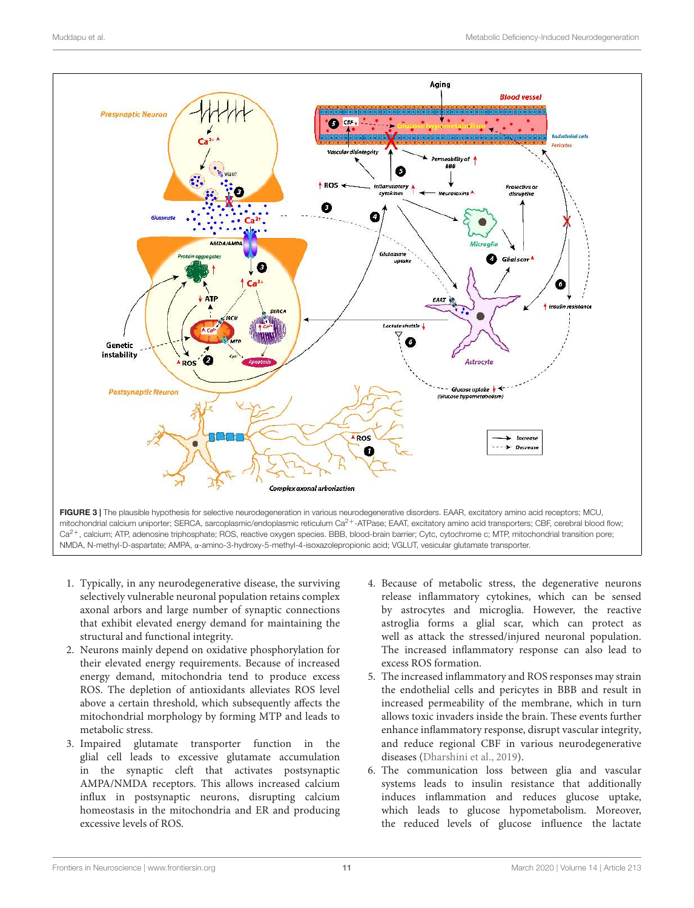

- 1. Typically, in any neurodegenerative disease, the surviving selectively vulnerable neuronal population retains complex axonal arbors and large number of synaptic connections that exhibit elevated energy demand for maintaining the structural and functional integrity.
- 2. Neurons mainly depend on oxidative phosphorylation for their elevated energy requirements. Because of increased energy demand, mitochondria tend to produce excess ROS. The depletion of antioxidants alleviates ROS level above a certain threshold, which subsequently affects the mitochondrial morphology by forming MTP and leads to metabolic stress.
- 3. Impaired glutamate transporter function in the glial cell leads to excessive glutamate accumulation in the synaptic cleft that activates postsynaptic AMPA/NMDA receptors. This allows increased calcium influx in postsynaptic neurons, disrupting calcium homeostasis in the mitochondria and ER and producing excessive levels of ROS.
- 4. Because of metabolic stress, the degenerative neurons release inflammatory cytokines, which can be sensed by astrocytes and microglia. However, the reactive astroglia forms a glial scar, which can protect as well as attack the stressed/injured neuronal population. The increased inflammatory response can also lead to excess ROS formation.
- 5. The increased inflammatory and ROS responses may strain the endothelial cells and pericytes in BBB and result in increased permeability of the membrane, which in turn allows toxic invaders inside the brain. These events further enhance inflammatory response, disrupt vascular integrity, and reduce regional CBF in various neurodegenerative diseases (Dharshini et al., 2019).
- 6. The communication loss between glia and vascular systems leads to insulin resistance that additionally induces inflammation and reduces glucose uptake, which leads to glucose hypometabolism. Moreover, the reduced levels of glucose influence the lactate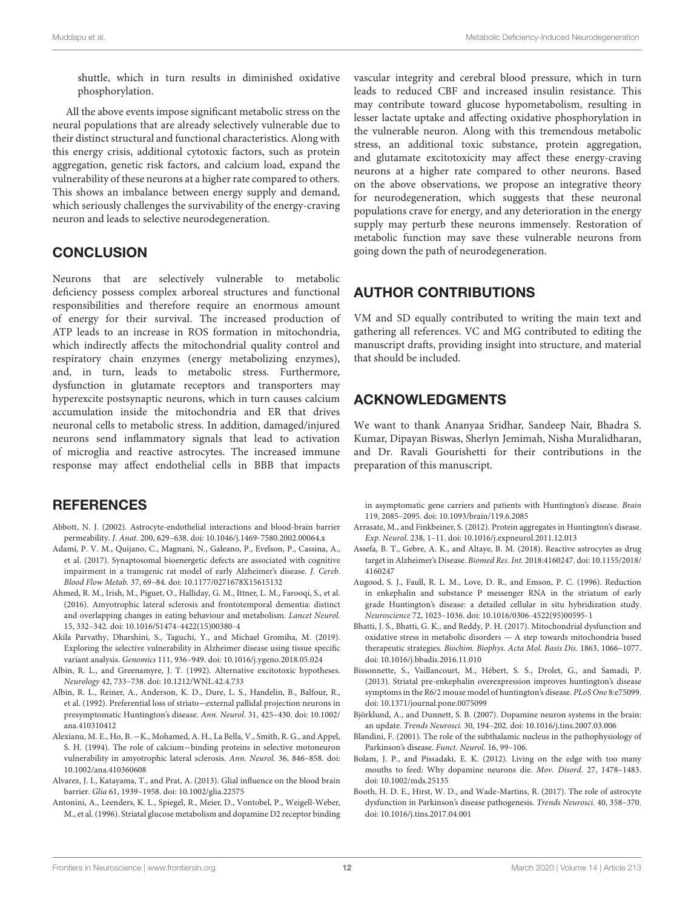shuttle, which in turn results in diminished oxidative phosphorylation.

All the above events impose significant metabolic stress on the neural populations that are already selectively vulnerable due to their distinct structural and functional characteristics. Along with this energy crisis, additional cytotoxic factors, such as protein aggregation, genetic risk factors, and calcium load, expand the vulnerability of these neurons at a higher rate compared to others. This shows an imbalance between energy supply and demand, which seriously challenges the survivability of the energy-craving neuron and leads to selective neurodegeneration.

## **CONCLUSION**

Neurons that are selectively vulnerable to metabolic deficiency possess complex arboreal structures and functional responsibilities and therefore require an enormous amount of energy for their survival. The increased production of ATP leads to an increase in ROS formation in mitochondria, which indirectly affects the mitochondrial quality control and respiratory chain enzymes (energy metabolizing enzymes), and, in turn, leads to metabolic stress. Furthermore, dysfunction in glutamate receptors and transporters may hyperexcite postsynaptic neurons, which in turn causes calcium accumulation inside the mitochondria and ER that drives neuronal cells to metabolic stress. In addition, damaged/injured neurons send inflammatory signals that lead to activation of microglia and reactive astrocytes. The increased immune response may affect endothelial cells in BBB that impacts

## **REFERENCES**

- Abbott, N. J. (2002). Astrocyte-endothelial interactions and blood-brain barrier permeability. J. Anat. 200, 629–638. doi: 10.1046/j.1469-7580.2002.00064.x
- Adami, P. V. M., Quijano, C., Magnani, N., Galeano, P., Evelson, P., Cassina, A., et al. (2017). Synaptosomal bioenergetic defects are associated with cognitive impairment in a transgenic rat model of early Alzheimer's disease. J. Cereb. Blood Flow Metab. 37, 69–84. doi: 10.1177/0271678X15615132
- Ahmed, R. M., Irish, M., Piguet, O., Halliday, G. M., Ittner, L. M., Farooqi, S., et al. (2016). Amyotrophic lateral sclerosis and frontotemporal dementia: distinct and overlapping changes in eating behaviour and metabolism. Lancet Neurol. 15, 332–342. doi: 10.1016/S1474-4422(15)00380-4
- Akila Parvathy, Dharshini, S., Taguchi, Y., and Michael Gromiha, M. (2019). Exploring the selective vulnerability in Alzheimer disease using tissue specific variant analysis. Genomics 111, 936–949. doi: 10.1016/j.ygeno.2018.05.024
- Albin, R. L., and Greenamyre, J. T. (1992). Alternative excitotoxic hypotheses. Neurology 42, 733–738. doi: 10.1212/WNL.42.4.733
- Albin, R. L., Reiner, A., Anderson, K. D., Dure, L. S., Handelin, B., Balfour, R., et al. (1992). Preferential loss of striato−external pallidal projection neurons in presymptomatic Huntington's disease. Ann. Neurol. 31, 425–430. doi: 10.1002/ ana.410310412
- Alexianu, M. E., Ho, B. −K., Mohamed, A. H., La Bella, V., Smith, R. G., and Appel, S. H. (1994). The role of calcium−binding proteins in selective motoneuron vulnerability in amyotrophic lateral sclerosis. Ann. Neurol. 36, 846–858. doi: 10.1002/ana.410360608
- Alvarez, J. I., Katayama, T., and Prat, A. (2013). Glial influence on the blood brain barrier. Glia 61, 1939–1958. doi: 10.1002/glia.22575
- Antonini, A., Leenders, K. L., Spiegel, R., Meier, D., Vontobel, P., Weigell-Weber, M., et al. (1996). Striatal glucose metabolism and dopamine D2 receptor binding

vascular integrity and cerebral blood pressure, which in turn leads to reduced CBF and increased insulin resistance. This may contribute toward glucose hypometabolism, resulting in lesser lactate uptake and affecting oxidative phosphorylation in the vulnerable neuron. Along with this tremendous metabolic stress, an additional toxic substance, protein aggregation, and glutamate excitotoxicity may affect these energy-craving neurons at a higher rate compared to other neurons. Based on the above observations, we propose an integrative theory for neurodegeneration, which suggests that these neuronal populations crave for energy, and any deterioration in the energy supply may perturb these neurons immensely. Restoration of metabolic function may save these vulnerable neurons from going down the path of neurodegeneration.

## AUTHOR CONTRIBUTIONS

VM and SD equally contributed to writing the main text and gathering all references. VC and MG contributed to editing the manuscript drafts, providing insight into structure, and material that should be included.

## ACKNOWLEDGMENTS

We want to thank Ananyaa Sridhar, Sandeep Nair, Bhadra S. Kumar, Dipayan Biswas, Sherlyn Jemimah, Nisha Muralidharan, and Dr. Ravali Gourishetti for their contributions in the preparation of this manuscript.

in asymptomatic gene carriers and patients with Huntington's disease. Brain 119, 2085–2095. doi: 10.1093/brain/119.6.2085

- Arrasate, M., and Finkbeiner, S. (2012). Protein aggregates in Huntington's disease. Exp. Neurol. 238, 1–11. doi: 10.1016/j.expneurol.2011.12.013
- Assefa, B. T., Gebre, A. K., and Altaye, B. M. (2018). Reactive astrocytes as drug target in Alzheimer's Disease. Biomed Res. Int. 2018:4160247. doi: 10.1155/2018/ 4160247
- Augood, S. J., Faull, R. L. M., Love, D. R., and Emson, P. C. (1996). Reduction in enkephalin and substance P messenger RNA in the striatum of early grade Huntington's disease: a detailed cellular in situ hybridization study. Neuroscience 72, 1023–1036. doi: 10.1016/0306-4522(95)00595-1
- Bhatti, J. S., Bhatti, G. K., and Reddy, P. H. (2017). Mitochondrial dysfunction and oxidative stress in metabolic disorders — A step towards mitochondria based therapeutic strategies. Biochim. Biophys. Acta Mol. Basis Dis. 1863, 1066–1077. doi: 10.1016/j.bbadis.2016.11.010
- Bissonnette, S., Vaillancourt, M., Hébert, S. S., Drolet, G., and Samadi, P. (2013). Striatal pre-enkephalin overexpression improves huntington's disease symptoms in the R6/2 mouse model of huntington's disease. PLoS One 8:e75099. doi: 10.1371/journal.pone.0075099
- Björklund, A., and Dunnett, S. B. (2007). Dopamine neuron systems in the brain: an update. Trends Neurosci. 30, 194–202. doi: 10.1016/j.tins.2007.03.006
- Blandini, F. (2001). The role of the subthalamic nucleus in the pathophysiology of Parkinson's disease. Funct. Neurol. 16, 99–106.
- Bolam, J. P., and Pissadaki, E. K. (2012). Living on the edge with too many mouths to feed: Why dopamine neurons die. Mov. Disord. 27, 1478–1483. doi: 10.1002/mds.25135
- Booth, H. D. E., Hirst, W. D., and Wade-Martins, R. (2017). The role of astrocyte dysfunction in Parkinson's disease pathogenesis. Trends Neurosci. 40, 358–370. doi: 10.1016/j.tins.2017.04.001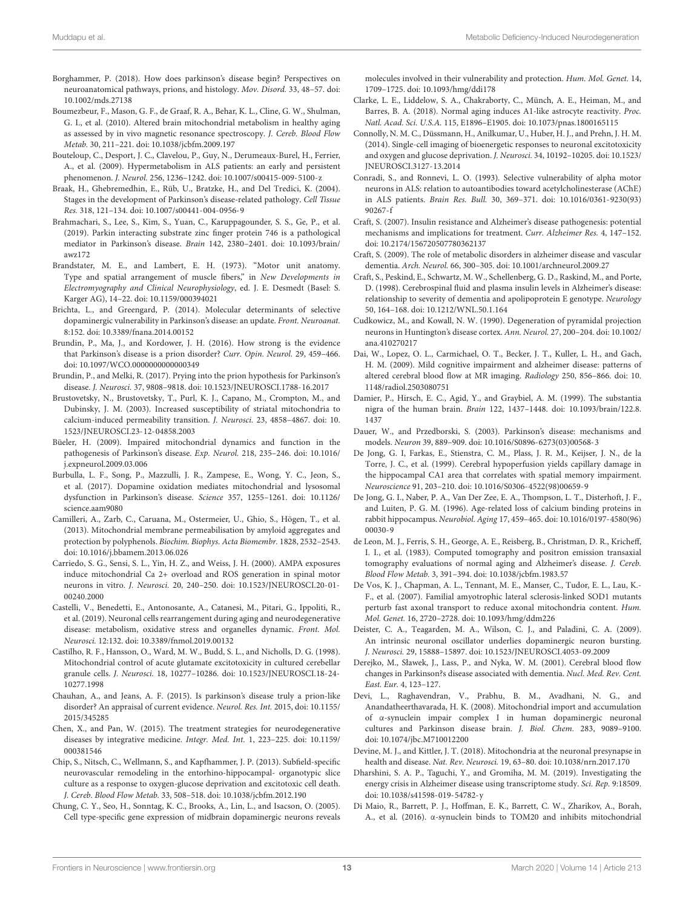- Borghammer, P. (2018). How does parkinson's disease begin? Perspectives on neuroanatomical pathways, prions, and histology. Mov. Disord. 33, 48–57. doi: 10.1002/mds.27138
- Boumezbeur, F., Mason, G. F., de Graaf, R. A., Behar, K. L., Cline, G. W., Shulman, G. I., et al. (2010). Altered brain mitochondrial metabolism in healthy aging as assessed by in vivo magnetic resonance spectroscopy. J. Cereb. Blood Flow Metab. 30, 211–221. doi: 10.1038/jcbfm.2009.197
- Bouteloup, C., Desport, J. C., Clavelou, P., Guy, N., Derumeaux-Burel, H., Ferrier, A., et al. (2009). Hypermetabolism in ALS patients: an early and persistent phenomenon. J. Neurol. 256, 1236–1242. doi: 10.1007/s00415-009-5100-z
- Braak, H., Ghebremedhin, E., Rüb, U., Bratzke, H., and Del Tredici, K. (2004). Stages in the development of Parkinson's disease-related pathology. Cell Tissue Res. 318, 121–134. doi: 10.1007/s00441-004-0956-9
- Brahmachari, S., Lee, S., Kim, S., Yuan, C., Karuppagounder, S. S., Ge, P., et al. (2019). Parkin interacting substrate zinc finger protein 746 is a pathological mediator in Parkinson's disease. Brain 142, 2380–2401. doi: 10.1093/brain/ awz172
- Brandstater, M. E., and Lambert, E. H. (1973). "Motor unit anatomy. Type and spatial arrangement of muscle fibers," in New Developments in Electromyography and Clinical Neurophysiology, ed. J. E. Desmedt (Basel: S. Karger AG), 14–22. doi: 10.1159/000394021
- Brichta, L., and Greengard, P. (2014). Molecular determinants of selective dopaminergic vulnerability in Parkinson's disease: an update. Front. Neuroanat. 8:152. doi: 10.3389/fnana.2014.00152
- Brundin, P., Ma, J., and Kordower, J. H. (2016). How strong is the evidence that Parkinson's disease is a prion disorder? Curr. Opin. Neurol. 29, 459–466. doi: 10.1097/WCO.0000000000000349
- Brundin, P., and Melki, R. (2017). Prying into the prion hypothesis for Parkinson's disease. J. Neurosci. 37, 9808–9818. doi: 10.1523/JNEUROSCI.1788-16.2017
- Brustovetsky, N., Brustovetsky, T., Purl, K. J., Capano, M., Crompton, M., and Dubinsky, J. M. (2003). Increased susceptibility of striatal mitochondria to calcium-induced permeability transition. J. Neurosci. 23, 4858–4867. doi: 10. 1523/JNEUROSCI.23-12-04858.2003
- Büeler, H. (2009). Impaired mitochondrial dynamics and function in the pathogenesis of Parkinson's disease. Exp. Neurol. 218, 235–246. doi: 10.1016/ j.expneurol.2009.03.006
- Burbulla, L. F., Song, P., Mazzulli, J. R., Zampese, E., Wong, Y. C., Jeon, S., et al. (2017). Dopamine oxidation mediates mitochondrial and lysosomal dysfunction in Parkinson's disease. Science 357, 1255–1261. doi: 10.1126/ science.aam9080
- Camilleri, A., Zarb, C., Caruana, M., Ostermeier, U., Ghio, S., Högen, T., et al. (2013). Mitochondrial membrane permeabilisation by amyloid aggregates and protection by polyphenols. Biochim. Biophys. Acta Biomembr. 1828, 2532–2543. doi: 10.1016/j.bbamem.2013.06.026
- Carriedo, S. G., Sensi, S. L., Yin, H. Z., and Weiss, J. H. (2000). AMPA exposures induce mitochondrial Ca 2+ overload and ROS generation in spinal motor neurons in vitro. J. Neurosci. 20, 240–250. doi: 10.1523/JNEUROSCI.20-01- 00240.2000
- Castelli, V., Benedetti, E., Antonosante, A., Catanesi, M., Pitari, G., Ippoliti, R., et al. (2019). Neuronal cells rearrangement during aging and neurodegenerative disease: metabolism, oxidative stress and organelles dynamic. Front. Mol. Neurosci. 12:132. doi: 10.3389/fnmol.2019.00132
- Castilho, R. F., Hansson, O., Ward, M. W., Budd, S. L., and Nicholls, D. G. (1998). Mitochondrial control of acute glutamate excitotoxicity in cultured cerebellar granule cells. J. Neurosci. 18, 10277–10286. doi: 10.1523/JNEUROSCI.18-24- 10277.1998
- Chauhan, A., and Jeans, A. F. (2015). Is parkinson's disease truly a prion-like disorder? An appraisal of current evidence. Neurol. Res. Int. 2015, doi: 10.1155/ 2015/345285
- Chen, X., and Pan, W. (2015). The treatment strategies for neurodegenerative diseases by integrative medicine. Integr. Med. Int. 1, 223–225. doi: 10.1159/ 000381546
- Chip, S., Nitsch, C., Wellmann, S., and Kapfhammer, J. P. (2013). Subfield-specific neurovascular remodeling in the entorhino-hippocampal- organotypic slice culture as a response to oxygen-glucose deprivation and excitotoxic cell death. J. Cereb. Blood Flow Metab. 33, 508–518. doi: 10.1038/jcbfm.2012.190
- Chung, C. Y., Seo, H., Sonntag, K. C., Brooks, A., Lin, L., and Isacson, O. (2005). Cell type-specific gene expression of midbrain dopaminergic neurons reveals

molecules involved in their vulnerability and protection. Hum. Mol. Genet. 14, 1709–1725. doi: 10.1093/hmg/ddi178

- Clarke, L. E., Liddelow, S. A., Chakraborty, C., Münch, A. E., Heiman, M., and Barres, B. A. (2018). Normal aging induces A1-like astrocyte reactivity. Proc. Natl. Acad. Sci. U.S.A. 115, E1896–E1905. doi: 10.1073/pnas.1800165115
- Connolly, N. M. C., Düssmann, H., Anilkumar, U., Huber, H. J., and Prehn, J. H. M. (2014). Single-cell imaging of bioenergetic responses to neuronal excitotoxicity and oxygen and glucose deprivation. J. Neurosci. 34, 10192–10205. doi: 10.1523/ JNEUROSCI.3127-13.2014
- Conradi, S., and Ronnevi, L. O. (1993). Selective vulnerability of alpha motor neurons in ALS: relation to autoantibodies toward acetylcholinesterase (AChE) in ALS patients. Brain Res. Bull. 30, 369–371. doi: 10.1016/0361-9230(93) 90267-f
- Craft, S. (2007). Insulin resistance and Alzheimer's disease pathogenesis: potential mechanisms and implications for treatment. Curr. Alzheimer Res. 4, 147–152. doi: 10.2174/156720507780362137
- Craft, S. (2009). The role of metabolic disorders in alzheimer disease and vascular dementia. Arch. Neurol. 66, 300–305. doi: 10.1001/archneurol.2009.27
- Craft, S., Peskind, E., Schwartz, M. W., Schellenberg, G. D., Raskind, M., and Porte, D. (1998). Cerebrospinal fluid and plasma insulin levels in Alzheimer's disease: relationship to severity of dementia and apolipoprotein E genotype. Neurology 50, 164–168. doi: 10.1212/WNL.50.1.164
- Cudkowicz, M., and Kowall, N. W. (1990). Degeneration of pyramidal projection neurons in Huntington's disease cortex. Ann. Neurol. 27, 200–204. doi: 10.1002/ ana.410270217
- Dai, W., Lopez, O. L., Carmichael, O. T., Becker, J. T., Kuller, L. H., and Gach, H. M. (2009). Mild cognitive impairment and alzheimer disease: patterns of altered cerebral blood flow at MR imaging. Radiology 250, 856–866. doi: 10. 1148/radiol.2503080751
- Damier, P., Hirsch, E. C., Agid, Y., and Graybiel, A. M. (1999). The substantia nigra of the human brain. Brain 122, 1437–1448. doi: 10.1093/brain/122.8. 1437
- Dauer, W., and Przedborski, S. (2003). Parkinson's disease: mechanisms and models. Neuron 39, 889–909. doi: 10.1016/S0896-6273(03)00568-3
- De Jong, G. I, Farkas, E., Stienstra, C. M., Plass, J. R. M., Keijser, J. N., de la Torre, J. C., et al. (1999). Cerebral hypoperfusion yields capillary damage in the hippocampal CA1 area that correlates with spatial memory impairment. Neuroscience 91, 203–210. doi: 10.1016/S0306-4522(98)00659-9
- De Jong, G. I., Naber, P. A., Van Der Zee, E. A., Thompson, L. T., Disterhoft, J. F., and Luiten, P. G. M. (1996). Age-related loss of calcium binding proteins in rabbit hippocampus. Neurobiol. Aging 17, 459–465. doi: 10.1016/0197-4580(96) 00030-9
- de Leon, M. J., Ferris, S. H., George, A. E., Reisberg, B., Christman, D. R., Kricheff, I. I., et al. (1983). Computed tomography and positron emission transaxial tomography evaluations of normal aging and Alzheimer's disease. J. Cereb. Blood Flow Metab. 3, 391–394. doi: 10.1038/jcbfm.1983.57
- De Vos, K. J., Chapman, A. L., Tennant, M. E., Manser, C., Tudor, E. L., Lau, K.- F., et al. (2007). Familial amyotrophic lateral sclerosis-linked SOD1 mutants perturb fast axonal transport to reduce axonal mitochondria content. Hum. Mol. Genet. 16, 2720–2728. doi: 10.1093/hmg/ddm226
- Deister, C. A., Teagarden, M. A., Wilson, C. J., and Paladini, C. A. (2009). An intrinsic neuronal oscillator underlies dopaminergic neuron bursting. J. Neurosci. 29, 15888–15897. doi: 10.1523/JNEUROSCI.4053-09.2009
- Derejko, M., Sławek, J., Lass, P., and Nyka, W. M. (2001). Cerebral blood flow changes in Parkinson?s disease associated with dementia. Nucl. Med. Rev. Cent. East. Eur. 4, 123–127.
- Devi, L., Raghavendran, V., Prabhu, B. M., Avadhani, N. G., and Anandatheerthavarada, H. K. (2008). Mitochondrial import and accumulation of α-synuclein impair complex I in human dopaminergic neuronal cultures and Parkinson disease brain. J. Biol. Chem. 283, 9089–9100. doi: 10.1074/jbc.M710012200
- Devine, M. J., and Kittler, J. T. (2018). Mitochondria at the neuronal presynapse in health and disease. Nat. Rev. Neurosci. 19, 63–80. doi: 10.1038/nrn.2017.170
- Dharshini, S. A. P., Taguchi, Y., and Gromiha, M. M. (2019). Investigating the energy crisis in Alzheimer disease using transcriptome study. Sci. Rep. 9:18509. doi: 10.1038/s41598-019-54782-y
- Di Maio, R., Barrett, P. J., Hoffman, E. K., Barrett, C. W., Zharikov, A., Borah, A., et al. (2016). α-synuclein binds to TOM20 and inhibits mitochondrial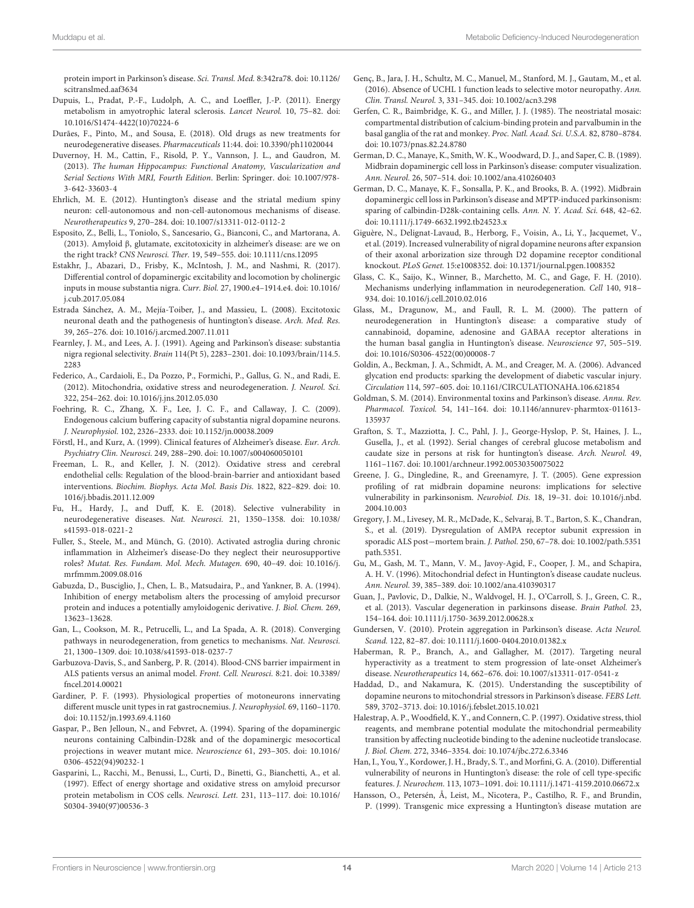protein import in Parkinson's disease. Sci. Transl. Med. 8:342ra78. doi: 10.1126/ scitranslmed.aaf3634

- Dupuis, L., Pradat, P.-F., Ludolph, A. C., and Loeffler, J.-P. (2011). Energy metabolism in amyotrophic lateral sclerosis. Lancet Neurol. 10, 75–82. doi: 10.1016/S1474-4422(10)70224-6
- Durães, F., Pinto, M., and Sousa, E. (2018). Old drugs as new treatments for neurodegenerative diseases. Pharmaceuticals 11:44. doi: 10.3390/ph11020044
- Duvernoy, H. M., Cattin, F., Risold, P. Y., Vannson, J. L., and Gaudron, M. (2013). The human Hippocampus: Functional Anatomy, Vascularization and Serial Sections With MRI, Fourth Edition. Berlin: Springer. doi: 10.1007/978- 3-642-33603-4
- Ehrlich, M. E. (2012). Huntington's disease and the striatal medium spiny neuron: cell-autonomous and non-cell-autonomous mechanisms of disease. Neurotherapeutics 9, 270–284. doi: 10.1007/s13311-012-0112-2
- Esposito, Z., Belli, L., Toniolo, S., Sancesario, G., Bianconi, C., and Martorana, A. (2013). Amyloid β, glutamate, excitotoxicity in alzheimer's disease: are we on the right track? CNS Neurosci. Ther. 19, 549–555. doi: 10.1111/cns.12095
- Estakhr, J., Abazari, D., Frisby, K., McIntosh, J. M., and Nashmi, R. (2017). Differential control of dopaminergic excitability and locomotion by cholinergic inputs in mouse substantia nigra. Curr. Biol. 27, 1900.e4–1914.e4. doi: 10.1016/ j.cub.2017.05.084
- Estrada Sánchez, A. M., Mejía-Toiber, J., and Massieu, L. (2008). Excitotoxic neuronal death and the pathogenesis of huntington's disease. Arch. Med. Res. 39, 265–276. doi: 10.1016/j.arcmed.2007.11.011
- Fearnley, J. M., and Lees, A. J. (1991). Ageing and Parkinson's disease: substantia nigra regional selectivity. Brain 114(Pt 5), 2283–2301. doi: 10.1093/brain/114.5. 2283
- Federico, A., Cardaioli, E., Da Pozzo, P., Formichi, P., Gallus, G. N., and Radi, E. (2012). Mitochondria, oxidative stress and neurodegeneration. J. Neurol. Sci. 322, 254–262. doi: 10.1016/j.jns.2012.05.030
- Foehring, R. C., Zhang, X. F., Lee, J. C. F., and Callaway, J. C. (2009). Endogenous calcium buffering capacity of substantia nigral dopamine neurons. J. Neurophysiol. 102, 2326–2333. doi: 10.1152/jn.00038.2009
- Förstl, H., and Kurz, A. (1999). Clinical features of Alzheimer's disease. Eur. Arch. Psychiatry Clin. Neurosci. 249, 288–290. doi: 10.1007/s004060050101
- Freeman, L. R., and Keller, J. N. (2012). Oxidative stress and cerebral endothelial cells: Regulation of the blood-brain-barrier and antioxidant based interventions. Biochim. Biophys. Acta Mol. Basis Dis. 1822, 822–829. doi: 10. 1016/j.bbadis.2011.12.009
- Fu, H., Hardy, J., and Duff, K. E. (2018). Selective vulnerability in neurodegenerative diseases. Nat. Neurosci. 21, 1350–1358. doi: 10.1038/ s41593-018-0221-2
- Fuller, S., Steele, M., and Münch, G. (2010). Activated astroglia during chronic inflammation in Alzheimer's disease-Do they neglect their neurosupportive roles? Mutat. Res. Fundam. Mol. Mech. Mutagen. 690, 40–49. doi: 10.1016/j. mrfmmm.2009.08.016
- Gabuzda, D., Busciglio, J., Chen, L. B., Matsudaira, P., and Yankner, B. A. (1994). Inhibition of energy metabolism alters the processing of amyloid precursor protein and induces a potentially amyloidogenic derivative. J. Biol. Chem. 269, 13623–13628.
- Gan, L., Cookson, M. R., Petrucelli, L., and La Spada, A. R. (2018). Converging pathways in neurodegeneration, from genetics to mechanisms. Nat. Neurosci. 21, 1300–1309. doi: 10.1038/s41593-018-0237-7
- Garbuzova-Davis, S., and Sanberg, P. R. (2014). Blood-CNS barrier impairment in ALS patients versus an animal model. Front. Cell. Neurosci. 8:21. doi: 10.3389/ fncel.2014.00021
- Gardiner, P. F. (1993). Physiological properties of motoneurons innervating different muscle unit types in rat gastrocnemius. J. Neurophysiol. 69, 1160–1170. doi: 10.1152/jn.1993.69.4.1160
- Gaspar, P., Ben Jelloun, N., and Febvret, A. (1994). Sparing of the dopaminergic neurons containing Calbindin-D28k and of the dopaminergic mesocortical projections in weaver mutant mice. Neuroscience 61, 293–305. doi: 10.1016/ 0306-4522(94)90232-1
- Gasparini, L., Racchi, M., Benussi, L., Curti, D., Binetti, G., Bianchetti, A., et al. (1997). Effect of energy shortage and oxidative stress on amyloid precursor protein metabolism in COS cells. Neurosci. Lett. 231, 113–117. doi: 10.1016/ S0304-3940(97)00536-3
- Genç, B., Jara, J. H., Schultz, M. C., Manuel, M., Stanford, M. J., Gautam, M., et al. (2016). Absence of UCHL 1 function leads to selective motor neuropathy. Ann. Clin. Transl. Neurol. 3, 331–345. doi: 10.1002/acn3.298
- Gerfen, C. R., Baimbridge, K. G., and Miller, J. J. (1985). The neostriatal mosaic: compartmental distribution of calcium-binding protein and parvalbumin in the basal ganglia of the rat and monkey. Proc. Natl. Acad. Sci. U.S.A. 82, 8780–8784. doi: 10.1073/pnas.82.24.8780
- German, D. C., Manaye, K., Smith, W. K., Woodward, D. J., and Saper, C. B. (1989). Midbrain dopaminergic cell loss in Parkinson's disease: computer visualization. Ann. Neurol. 26, 507–514. doi: 10.1002/ana.410260403
- German, D. C., Manaye, K. F., Sonsalla, P. K., and Brooks, B. A. (1992). Midbrain dopaminergic cell loss in Parkinson's disease and MPTP-induced parkinsonism: sparing of calbindin-D28k-containing cells. Ann. N. Y. Acad. Sci. 648, 42–62. doi: 10.1111/j.1749-6632.1992.tb24523.x
- Giguère, N., Delignat-Lavaud, B., Herborg, F., Voisin, A., Li, Y., Jacquemet, V., et al. (2019). Increased vulnerability of nigral dopamine neurons after expansion of their axonal arborization size through D2 dopamine receptor conditional knockout. PLoS Genet. 15:e1008352. doi: 10.1371/journal.pgen.1008352
- Glass, C. K., Saijo, K., Winner, B., Marchetto, M. C., and Gage, F. H. (2010). Mechanisms underlying inflammation in neurodegeneration. Cell 140, 918– 934. doi: 10.1016/j.cell.2010.02.016
- Glass, M., Dragunow, M., and Faull, R. L. M. (2000). The pattern of neurodegeneration in Huntington's disease: a comparative study of cannabinoid, dopamine, adenosine and GABAA receptor alterations in the human basal ganglia in Huntington's disease. Neuroscience 97, 505–519. doi: 10.1016/S0306-4522(00)00008-7
- Goldin, A., Beckman, J. A., Schmidt, A. M., and Creager, M. A. (2006). Advanced glycation end products: sparking the development of diabetic vascular injury. Circulation 114, 597–605. doi: 10.1161/CIRCULATIONAHA.106.621854
- Goldman, S. M. (2014). Environmental toxins and Parkinson's disease. Annu. Rev. Pharmacol. Toxicol. 54, 141–164. doi: 10.1146/annurev-pharmtox-011613- 135937
- Grafton, S. T., Mazziotta, J. C., Pahl, J. J., George-Hyslop, P. St, Haines, J. L., Gusella, J., et al. (1992). Serial changes of cerebral glucose metabolism and caudate size in persons at risk for huntington's disease. Arch. Neurol. 49, 1161–1167. doi: 10.1001/archneur.1992.00530350075022
- Greene, J. G., Dingledine, R., and Greenamyre, J. T. (2005). Gene expression profiling of rat midbrain dopamine neurons: implications for selective vulnerability in parkinsonism. Neurobiol. Dis. 18, 19–31. doi: 10.1016/j.nbd. 2004.10.003
- Gregory, J. M., Livesey, M. R., McDade, K., Selvaraj, B. T., Barton, S. K., Chandran, S., et al. (2019). Dysregulation of AMPA receptor subunit expression in sporadic ALS post−mortem brain. J. Pathol. 250, 67–78. doi: 10.1002/path.5351 path.5351.
- Gu, M., Gash, M. T., Mann, V. M., Javoy-Agid, F., Cooper, J. M., and Schapira, A. H. V. (1996). Mitochondrial defect in Huntington's disease caudate nucleus. Ann. Neurol. 39, 385–389. doi: 10.1002/ana.410390317
- Guan, J., Pavlovic, D., Dalkie, N., Waldvogel, H. J., O'Carroll, S. J., Green, C. R., et al. (2013). Vascular degeneration in parkinsons disease. Brain Pathol. 23, 154–164. doi: 10.1111/j.1750-3639.2012.00628.x
- Gundersen, V. (2010). Protein aggregation in Parkinson's disease. Acta Neurol. Scand. 122, 82–87. doi: 10.1111/j.1600-0404.2010.01382.x
- Haberman, R. P., Branch, A., and Gallagher, M. (2017). Targeting neural hyperactivity as a treatment to stem progression of late-onset Alzheimer's disease. Neurotherapeutics 14, 662–676. doi: 10.1007/s13311-017-0541-z
- Haddad, D., and Nakamura, K. (2015). Understanding the susceptibility of dopamine neurons to mitochondrial stressors in Parkinson's disease. FEBS Lett. 589, 3702–3713. doi: 10.1016/j.febslet.2015.10.021
- Halestrap, A. P., Woodfield, K. Y., and Connern, C. P. (1997). Oxidative stress, thiol reagents, and membrane potential modulate the mitochondrial permeability transition by affecting nucleotide binding to the adenine nucleotide translocase. J. Biol. Chem. 272, 3346–3354. doi: 10.1074/jbc.272.6.3346
- Han, I., You, Y., Kordower, J. H., Brady, S. T., and Morfini, G. A. (2010). Differential vulnerability of neurons in Huntington's disease: the role of cell type-specific features. J. Neurochem. 113, 1073–1091. doi: 10.1111/j.1471-4159.2010.06672.x
- Hansson, O., Petersén, Å, Leist, M., Nicotera, P., Castilho, R. F., and Brundin, P. (1999). Transgenic mice expressing a Huntington's disease mutation are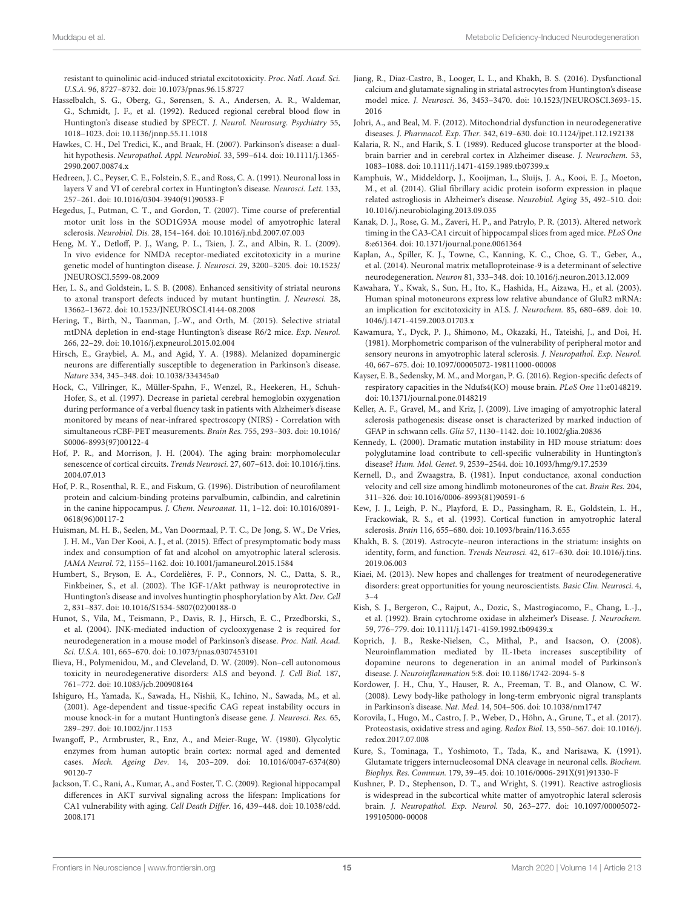resistant to quinolinic acid-induced striatal excitotoxicity. Proc. Natl. Acad. Sci. U.S.A. 96, 8727–8732. doi: 10.1073/pnas.96.15.8727

- Hasselbalch, S. G., Oberg, G., Sørensen, S. A., Andersen, A. R., Waldemar, G., Schmidt, J. F., et al. (1992). Reduced regional cerebral blood flow in Huntington's disease studied by SPECT. J. Neurol. Neurosurg. Psychiatry 55, 1018–1023. doi: 10.1136/jnnp.55.11.1018
- Hawkes, C. H., Del Tredici, K., and Braak, H. (2007). Parkinson's disease: a dualhit hypothesis. Neuropathol. Appl. Neurobiol. 33, 599–614. doi: 10.1111/j.1365- 2990.2007.00874.x
- Hedreen, J. C., Peyser, C. E., Folstein, S. E., and Ross, C. A. (1991). Neuronal loss in layers V and VI of cerebral cortex in Huntington's disease. Neurosci. Lett. 133, 257–261. doi: 10.1016/0304-3940(91)90583-F
- Hegedus, J., Putman, C. T., and Gordon, T. (2007). Time course of preferential motor unit loss in the SOD1G93A mouse model of amyotrophic lateral sclerosis. Neurobiol. Dis. 28, 154–164. doi: 10.1016/j.nbd.2007.07.003
- Heng, M. Y., Detloff, P. J., Wang, P. L., Tsien, J. Z., and Albin, R. L. (2009). In vivo evidence for NMDA receptor-mediated excitotoxicity in a murine genetic model of huntington disease. J. Neurosci. 29, 3200–3205. doi: 10.1523/ JNEUROSCI.5599-08.2009
- Her, L. S., and Goldstein, L. S. B. (2008). Enhanced sensitivity of striatal neurons to axonal transport defects induced by mutant huntingtin. J. Neurosci. 28, 13662–13672. doi: 10.1523/JNEUROSCI.4144-08.2008
- Hering, T., Birth, N., Taanman, J.-W., and Orth, M. (2015). Selective striatal mtDNA depletion in end-stage Huntington's disease R6/2 mice. Exp. Neurol. 266, 22–29. doi: 10.1016/j.expneurol.2015.02.004
- Hirsch, E., Graybiel, A. M., and Agid, Y. A. (1988). Melanized dopaminergic neurons are differentially susceptible to degeneration in Parkinson's disease. Nature 334, 345–348. doi: 10.1038/334345a0
- Hock, C., Villringer, K., Müller-Spahn, F., Wenzel, R., Heekeren, H., Schuh-Hofer, S., et al. (1997). Decrease in parietal cerebral hemoglobin oxygenation during performance of a verbal fluency task in patients with Alzheimer's disease monitored by means of near-infrared spectroscopy (NIRS) - Correlation with simultaneous rCBF-PET measurements. Brain Res. 755, 293–303. doi: 10.1016/ S0006-8993(97)00122-4
- Hof, P. R., and Morrison, J. H. (2004). The aging brain: morphomolecular senescence of cortical circuits. Trends Neurosci. 27, 607–613. doi: 10.1016/j.tins. 2004.07.013
- Hof, P. R., Rosenthal, R. E., and Fiskum, G. (1996). Distribution of neurofilament protein and calcium-binding proteins parvalbumin, calbindin, and calretinin in the canine hippocampus. J. Chem. Neuroanat. 11, 1–12. doi: 10.1016/0891- 0618(96)00117-2
- Huisman, M. H. B., Seelen, M., Van Doormaal, P. T. C., De Jong, S. W., De Vries, J. H. M., Van Der Kooi, A. J., et al. (2015). Effect of presymptomatic body mass index and consumption of fat and alcohol on amyotrophic lateral sclerosis. JAMA Neurol. 72, 1155–1162. doi: 10.1001/jamaneurol.2015.1584
- Humbert, S., Bryson, E. A., Cordelières, F. P., Connors, N. C., Datta, S. R., Finkbeiner, S., et al. (2002). The IGF-1/Akt pathway is neuroprotective in Huntington's disease and involves huntingtin phosphorylation by Akt. Dev. Cell 2, 831–837. doi: 10.1016/S1534-5807(02)00188-0
- Hunot, S., Vila, M., Teismann, P., Davis, R. J., Hirsch, E. C., Przedborski, S., et al. (2004). JNK-mediated induction of cyclooxygenase 2 is required for neurodegeneration in a mouse model of Parkinson's disease. Proc. Natl. Acad. Sci. U.S.A. 101, 665–670. doi: 10.1073/pnas.0307453101
- Ilieva, H., Polymenidou, M., and Cleveland, D. W. (2009). Non–cell autonomous toxicity in neurodegenerative disorders: ALS and beyond. J. Cell Biol. 187, 761–772. doi: 10.1083/jcb.200908164
- Ishiguro, H., Yamada, K., Sawada, H., Nishii, K., Ichino, N., Sawada, M., et al. (2001). Age-dependent and tissue-specific CAG repeat instability occurs in mouse knock-in for a mutant Huntington's disease gene. J. Neurosci. Res. 65, 289–297. doi: 10.1002/jnr.1153
- Iwangoff, P., Armbruster, R., Enz, A., and Meier-Ruge, W. (1980). Glycolytic enzymes from human autoptic brain cortex: normal aged and demented cases. Mech. Ageing Dev. 14, 203–209. doi: 10.1016/0047-6374(80) 90120-7
- Jackson, T. C., Rani, A., Kumar, A., and Foster, T. C. (2009). Regional hippocampal differences in AKT survival signaling across the lifespan: Implications for CA1 vulnerability with aging. Cell Death Differ. 16, 439–448. doi: 10.1038/cdd. 2008.171
- Jiang, R., Diaz-Castro, B., Looger, L. L., and Khakh, B. S. (2016). Dysfunctional calcium and glutamate signaling in striatal astrocytes from Huntington's disease model mice. J. Neurosci. 36, 3453–3470. doi: 10.1523/JNEUROSCI.3693-15. 2016
- Johri, A., and Beal, M. F. (2012). Mitochondrial dysfunction in neurodegenerative diseases. J. Pharmacol. Exp. Ther. 342, 619–630. doi: 10.1124/jpet.112.192138
- Kalaria, R. N., and Harik, S. I. (1989). Reduced glucose transporter at the bloodbrain barrier and in cerebral cortex in Alzheimer disease. J. Neurochem. 53, 1083–1088. doi: 10.1111/j.1471-4159.1989.tb07399.x
- Kamphuis, W., Middeldorp, J., Kooijman, L., Sluijs, J. A., Kooi, E. J., Moeton, M., et al. (2014). Glial fibrillary acidic protein isoform expression in plaque related astrogliosis in Alzheimer's disease. Neurobiol. Aging 35, 492–510. doi: 10.1016/j.neurobiolaging.2013.09.035
- Kanak, D. J., Rose, G. M., Zaveri, H. P., and Patrylo, P. R. (2013). Altered network timing in the CA3-CA1 circuit of hippocampal slices from aged mice. PLoS One 8:e61364. doi: 10.1371/journal.pone.0061364
- Kaplan, A., Spiller, K. J., Towne, C., Kanning, K. C., Choe, G. T., Geber, A., et al. (2014). Neuronal matrix metalloproteinase-9 is a determinant of selective neurodegeneration. Neuron 81, 333–348. doi: 10.1016/j.neuron.2013.12.009
- Kawahara, Y., Kwak, S., Sun, H., Ito, K., Hashida, H., Aizawa, H., et al. (2003). Human spinal motoneurons express low relative abundance of GluR2 mRNA: an implication for excitotoxicity in ALS. J. Neurochem. 85, 680–689. doi: 10. 1046/j.1471-4159.2003.01703.x
- Kawamura, Y., Dyck, P. J., Shimono, M., Okazaki, H., Tateishi, J., and Doi, H. (1981). Morphometric comparison of the vulnerability of peripheral motor and sensory neurons in amyotrophic lateral sclerosis. J. Neuropathol. Exp. Neurol. 40, 667–675. doi: 10.1097/00005072-198111000-00008
- Kayser, E. B., Sedensky, M. M., and Morgan, P. G. (2016). Region-specific defects of respiratory capacities in the Ndufs4(KO) mouse brain. PLoS One 11:e0148219. doi: 10.1371/journal.pone.0148219
- Keller, A. F., Gravel, M., and Kriz, J. (2009). Live imaging of amyotrophic lateral sclerosis pathogenesis: disease onset is characterized by marked induction of GFAP in schwann cells. Glia 57, 1130–1142. doi: 10.1002/glia.20836
- Kennedy, L. (2000). Dramatic mutation instability in HD mouse striatum: does polyglutamine load contribute to cell-specific vulnerability in Huntington's disease? Hum. Mol. Genet. 9, 2539–2544. doi: 10.1093/hmg/9.17.2539
- Kernell, D., and Zwaagstra, B. (1981). Input conductance, axonal conduction velocity and cell size among hindlimb motoneurones of the cat. Brain Res. 204, 311–326. doi: 10.1016/0006-8993(81)90591-6
- Kew, J. J., Leigh, P. N., Playford, E. D., Passingham, R. E., Goldstein, L. H., Frackowiak, R. S., et al. (1993). Cortical function in amyotrophic lateral sclerosis. Brain 116, 655–680. doi: 10.1093/brain/116.3.655
- Khakh, B. S. (2019). Astrocyte–neuron interactions in the striatum: insights on identity, form, and function. Trends Neurosci. 42, 617–630. doi: 10.1016/j.tins. 2019.06.003
- Kiaei, M. (2013). New hopes and challenges for treatment of neurodegenerative disorders: great opportunities for young neuroscientists. Basic Clin. Neurosci. 4, 3–4
- Kish, S. J., Bergeron, C., Rajput, A., Dozic, S., Mastrogiacomo, F., Chang, L.-J., et al. (1992). Brain cytochrome oxidase in alzheimer's Disease. J. Neurochem. 59, 776–779. doi: 10.1111/j.1471-4159.1992.tb09439.x
- Koprich, J. B., Reske-Nielsen, C., Mithal, P., and Isacson, O. (2008). Neuroinflammation mediated by IL-1beta increases susceptibility of dopamine neurons to degeneration in an animal model of Parkinson's disease. J. Neuroinflammation 5:8. doi: 10.1186/1742-2094-5-8
- Kordower, J. H., Chu, Y., Hauser, R. A., Freeman, T. B., and Olanow, C. W. (2008). Lewy body-like pathology in long-term embryonic nigral transplants in Parkinson's disease. Nat. Med. 14, 504–506. doi: 10.1038/nm1747
- Korovila, I., Hugo, M., Castro, J. P., Weber, D., Höhn, A., Grune, T., et al. (2017). Proteostasis, oxidative stress and aging. Redox Biol. 13, 550–567. doi: 10.1016/j. redox.2017.07.008
- Kure, S., Tominaga, T., Yoshimoto, T., Tada, K., and Narisawa, K. (1991). Glutamate triggers internucleosomal DNA cleavage in neuronal cells. Biochem. Biophys. Res. Commun. 179, 39–45. doi: 10.1016/0006-291X(91)91330-F
- Kushner, P. D., Stephenson, D. T., and Wright, S. (1991). Reactive astrogliosis is widespread in the subcortical white matter of amyotrophic lateral sclerosis brain. J. Neuropathol. Exp. Neurol. 50, 263–277. doi: 10.1097/00005072- 199105000-00008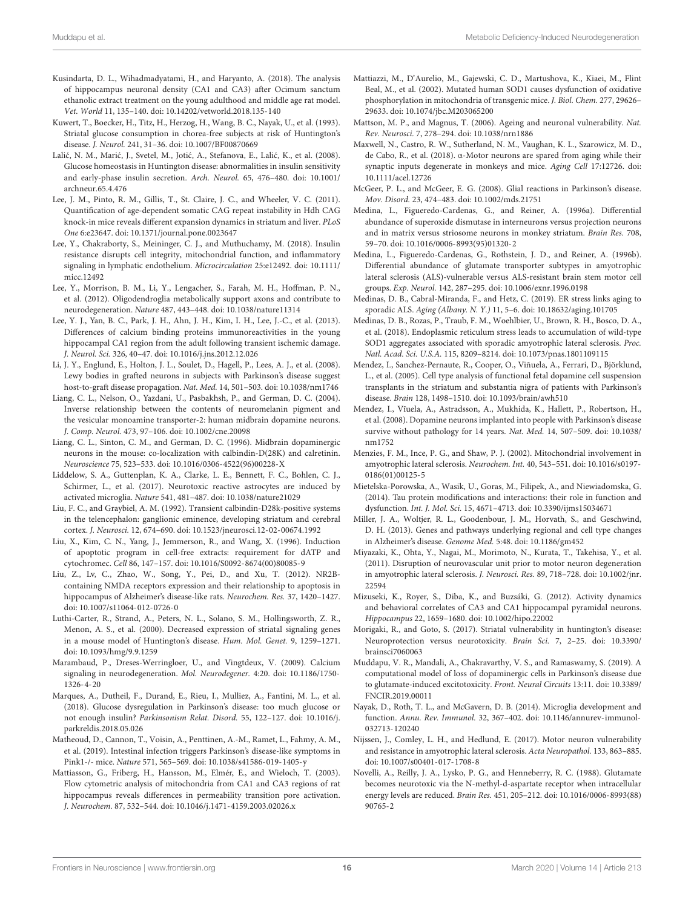- Kusindarta, D. L., Wihadmadyatami, H., and Haryanto, A. (2018). The analysis of hippocampus neuronal density (CA1 and CA3) after Ocimum sanctum ethanolic extract treatment on the young adulthood and middle age rat model. Vet. World 11, 135–140. doi: 10.14202/vetworld.2018.135-140
- Kuwert, T., Boecker, H., Titz, H., Herzog, H., Wang, B. C., Nayak, U., et al. (1993). Striatal glucose consumption in chorea-free subjects at risk of Huntington's disease. J. Neurol. 241, 31–36. doi: 10.1007/BF00870669
- Lalić, N. M., Marić, J., Svetel, M., Jotić, A., Stefanova, E., Lalić, K., et al. (2008). Glucose homeostasis in Huntington disease: abnormalities in insulin sensitivity and early-phase insulin secretion. Arch. Neurol. 65, 476–480. doi: 10.1001/ archneur.65.4.476
- Lee, J. M., Pinto, R. M., Gillis, T., St. Claire, J. C., and Wheeler, V. C. (2011). Quantification of age-dependent somatic CAG repeat instability in Hdh CAG knock-in mice reveals different expansion dynamics in striatum and liver. PLoS One 6:e23647. doi: 10.1371/journal.pone.0023647
- Lee, Y., Chakraborty, S., Meininger, C. J., and Muthuchamy, M. (2018). Insulin resistance disrupts cell integrity, mitochondrial function, and inflammatory signaling in lymphatic endothelium. Microcirculation 25:e12492. doi: 10.1111/ micc.12492
- Lee, Y., Morrison, B. M., Li, Y., Lengacher, S., Farah, M. H., Hoffman, P. N., et al. (2012). Oligodendroglia metabolically support axons and contribute to neurodegeneration. Nature 487, 443–448. doi: 10.1038/nature11314
- Lee, Y. J., Yan, B. C., Park, J. H., Ahn, J. H., Kim, I. H., Lee, J.-C., et al. (2013). Differences of calcium binding proteins immunoreactivities in the young hippocampal CA1 region from the adult following transient ischemic damage. J. Neurol. Sci. 326, 40–47. doi: 10.1016/j.jns.2012.12.026
- Li, J. Y., Englund, E., Holton, J. L., Soulet, D., Hagell, P., Lees, A. J., et al. (2008). Lewy bodies in grafted neurons in subjects with Parkinson's disease suggest host-to-graft disease propagation. Nat. Med. 14, 501–503. doi: 10.1038/nm1746
- Liang, C. L., Nelson, O., Yazdani, U., Pasbakhsh, P., and German, D. C. (2004). Inverse relationship between the contents of neuromelanin pigment and the vesicular monoamine transporter-2: human midbrain dopamine neurons. J. Comp. Neurol. 473, 97–106. doi: 10.1002/cne.20098
- Liang, C. L., Sinton, C. M., and German, D. C. (1996). Midbrain dopaminergic neurons in the mouse: co-localization with calbindin-D(28K) and calretinin. Neuroscience 75, 523–533. doi: 10.1016/0306-4522(96)00228-X
- Liddelow, S. A., Guttenplan, K. A., Clarke, L. E., Bennett, F. C., Bohlen, C. J., Schirmer, L., et al. (2017). Neurotoxic reactive astrocytes are induced by activated microglia. Nature 541, 481–487. doi: 10.1038/nature21029
- Liu, F. C., and Graybiel, A. M. (1992). Transient calbindin-D28k-positive systems in the telencephalon: ganglionic eminence, developing striatum and cerebral cortex. J. Neurosci. 12, 674–690. doi: 10.1523/jneurosci.12-02-00674.1992
- Liu, X., Kim, C. N., Yang, J., Jemmerson, R., and Wang, X. (1996). Induction of apoptotic program in cell-free extracts: requirement for dATP and cytochromec. Cell 86, 147–157. doi: 10.1016/S0092-8674(00)80085-9
- Liu, Z., Lv, C., Zhao, W., Song, Y., Pei, D., and Xu, T. (2012). NR2Bcontaining NMDA receptors expression and their relationship to apoptosis in hippocampus of Alzheimer's disease-like rats. Neurochem. Res. 37, 1420–1427. doi: 10.1007/s11064-012-0726-0
- Luthi-Carter, R., Strand, A., Peters, N. L., Solano, S. M., Hollingsworth, Z. R., Menon, A. S., et al. (2000). Decreased expression of striatal signaling genes in a mouse model of Huntington's disease. Hum. Mol. Genet. 9, 1259–1271. doi: 10.1093/hmg/9.9.1259
- Marambaud, P., Dreses-Werringloer, U., and Vingtdeux, V. (2009). Calcium signaling in neurodegeneration. Mol. Neurodegener. 4:20. doi: 10.1186/1750- 1326-4-20
- Marques, A., Dutheil, F., Durand, E., Rieu, I., Mulliez, A., Fantini, M. L., et al. (2018). Glucose dysregulation in Parkinson's disease: too much glucose or not enough insulin? Parkinsonism Relat. Disord. 55, 122–127. doi: 10.1016/j. parkreldis.2018.05.026
- Matheoud, D., Cannon, T., Voisin, A., Penttinen, A.-M., Ramet, L., Fahmy, A. M., et al. (2019). Intestinal infection triggers Parkinson's disease-like symptoms in Pink1-/- mice. Nature 571, 565–569. doi: 10.1038/s41586-019-1405-y
- Mattiasson, G., Friberg, H., Hansson, M., Elmér, E., and Wieloch, T. (2003). Flow cytometric analysis of mitochondria from CA1 and CA3 regions of rat hippocampus reveals differences in permeability transition pore activation. J. Neurochem. 87, 532–544. doi: 10.1046/j.1471-4159.2003.02026.x
- Mattiazzi, M., D'Aurelio, M., Gajewski, C. D., Martushova, K., Kiaei, M., Flint Beal, M., et al. (2002). Mutated human SOD1 causes dysfunction of oxidative phosphorylation in mitochondria of transgenic mice. J. Biol. Chem. 277, 29626– 29633. doi: 10.1074/jbc.M203065200
- Mattson, M. P., and Magnus, T. (2006). Ageing and neuronal vulnerability. Nat. Rev. Neurosci. 7, 278–294. doi: 10.1038/nrn1886
- Maxwell, N., Castro, R. W., Sutherland, N. M., Vaughan, K. L., Szarowicz, M. D., de Cabo, R., et al. (2018). α-Motor neurons are spared from aging while their synaptic inputs degenerate in monkeys and mice. Aging Cell 17:12726. doi: 10.1111/acel.12726
- McGeer, P. L., and McGeer, E. G. (2008). Glial reactions in Parkinson's disease. Mov. Disord. 23, 474–483. doi: 10.1002/mds.21751
- Medina, L., Figueredo-Cardenas, G., and Reiner, A. (1996a). Differential abundance of superoxide dismutase in interneurons versus projection neurons and in matrix versus striosome neurons in monkey striatum. Brain Res. 708, 59–70. doi: 10.1016/0006-8993(95)01320-2
- Medina, L., Figueredo-Cardenas, G., Rothstein, J. D., and Reiner, A. (1996b). Differential abundance of glutamate transporter subtypes in amyotrophic lateral sclerosis (ALS)-vulnerable versus ALS-resistant brain stem motor cell groups. Exp. Neurol. 142, 287–295. doi: 10.1006/exnr.1996.0198
- Medinas, D. B., Cabral-Miranda, F., and Hetz, C. (2019). ER stress links aging to sporadic ALS. Aging (Albany. N. Y.) 11, 5–6. doi: 10.18632/aging.101705
- Medinas, D. B., Rozas, P., Traub, F. M., Woehlbier, U., Brown, R. H., Bosco, D. A., et al. (2018). Endoplasmic reticulum stress leads to accumulation of wild-type SOD1 aggregates associated with sporadic amyotrophic lateral sclerosis. Proc. Natl. Acad. Sci. U.S.A. 115, 8209–8214. doi: 10.1073/pnas.1801109115
- Mendez, I., Sanchez-Pernaute, R., Cooper, O., Viñuela, A., Ferrari, D., Björklund, L., et al. (2005). Cell type analysis of functional fetal dopamine cell suspension transplants in the striatum and substantia nigra of patients with Parkinson's disease. Brain 128, 1498–1510. doi: 10.1093/brain/awh510
- Mendez, I., V˜ıuela, A., Astradsson, A., Mukhida, K., Hallett, P., Robertson, H., et al. (2008). Dopamine neurons implanted into people with Parkinson's disease survive without pathology for 14 years. Nat. Med. 14, 507–509. doi: 10.1038/ nm1752
- Menzies, F. M., Ince, P. G., and Shaw, P. J. (2002). Mitochondrial involvement in amyotrophic lateral sclerosis. Neurochem. Int. 40, 543–551. doi: 10.1016/s0197- 0186(01)00125-5
- Mietelska-Porowska, A., Wasik, U., Goras, M., Filipek, A., and Niewiadomska, G. (2014). Tau protein modifications and interactions: their role in function and dysfunction. Int. J. Mol. Sci. 15, 4671–4713. doi: 10.3390/ijms15034671
- Miller, J. A., Woltjer, R. L., Goodenbour, J. M., Horvath, S., and Geschwind, D. H. (2013). Genes and pathways underlying regional and cell type changes in Alzheimer's disease. Genome Med. 5:48. doi: 10.1186/gm452
- Miyazaki, K., Ohta, Y., Nagai, M., Morimoto, N., Kurata, T., Takehisa, Y., et al. (2011). Disruption of neurovascular unit prior to motor neuron degeneration in amyotrophic lateral sclerosis. J. Neurosci. Res. 89, 718–728. doi: 10.1002/jnr. 22594
- Mizuseki, K., Royer, S., Diba, K., and Buzsáki, G. (2012). Activity dynamics and behavioral correlates of CA3 and CA1 hippocampal pyramidal neurons. Hippocampus 22, 1659–1680. doi: 10.1002/hipo.22002
- Morigaki, R., and Goto, S. (2017). Striatal vulnerability in huntington's disease: Neuroprotection versus neurotoxicity. Brain Sci. 7, 2–25. doi: 10.3390/ brainsci7060063
- Muddapu, V. R., Mandali, A., Chakravarthy, V. S., and Ramaswamy, S. (2019). A computational model of loss of dopaminergic cells in Parkinson's disease due to glutamate-induced excitotoxicity. Front. Neural Circuits 13:11. doi: 10.3389/ FNCIR.2019.00011
- Nayak, D., Roth, T. L., and McGavern, D. B. (2014). Microglia development and function. Annu. Rev. Immunol. 32, 367–402. doi: 10.1146/annurev-immunol-032713-120240
- Nijssen, J., Comley, L. H., and Hedlund, E. (2017). Motor neuron vulnerability and resistance in amyotrophic lateral sclerosis. Acta Neuropathol. 133, 863–885. doi: 10.1007/s00401-017-1708-8
- Novelli, A., Reilly, J. A., Lysko, P. G., and Henneberry, R. C. (1988). Glutamate becomes neurotoxic via the N-methyl-d-aspartate receptor when intracellular energy levels are reduced. Brain Res. 451, 205–212. doi: 10.1016/0006-8993(88) 90765-2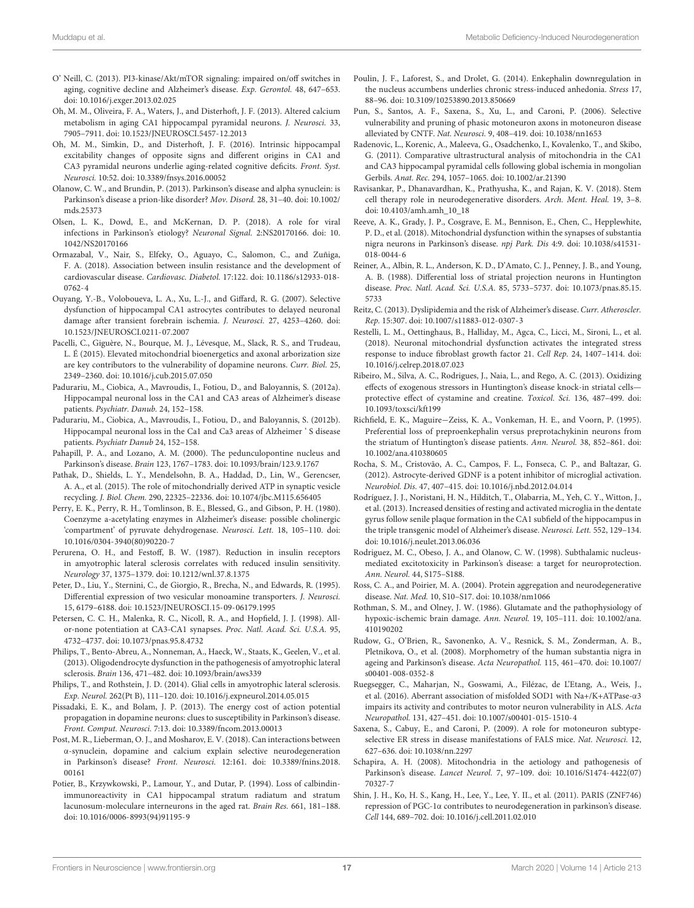- O' Neill, C. (2013). PI3-kinase/Akt/mTOR signaling: impaired on/off switches in aging, cognitive decline and Alzheimer's disease. Exp. Gerontol. 48, 647-653. doi: 10.1016/j.exger.2013.02.025
- Oh, M. M., Oliveira, F. A., Waters, J., and Disterhoft, J. F. (2013). Altered calcium metabolism in aging CA1 hippocampal pyramidal neurons. J. Neurosci. 33, 7905–7911. doi: 10.1523/JNEUROSCI.5457-12.2013
- Oh, M. M., Simkin, D., and Disterhoft, J. F. (2016). Intrinsic hippocampal excitability changes of opposite signs and different origins in CA1 and CA3 pyramidal neurons underlie aging-related cognitive deficits. Front. Syst. Neurosci. 10:52. doi: 10.3389/fnsys.2016.00052
- Olanow, C. W., and Brundin, P. (2013). Parkinson's disease and alpha synuclein: is Parkinson's disease a prion-like disorder? Mov. Disord. 28, 31–40. doi: 10.1002/ mds.25373
- Olsen, L. K., Dowd, E., and McKernan, D. P. (2018). A role for viral infections in Parkinson's etiology? Neuronal Signal. 2:NS20170166. doi: 10. 1042/NS20170166
- Ormazabal, V., Nair, S., Elfeky, O., Aguayo, C., Salomon, C., and Zuñiga, F. A. (2018). Association between insulin resistance and the development of cardiovascular disease. Cardiovasc. Diabetol. 17:122. doi: 10.1186/s12933-018- 0762-4
- Ouyang, Y.-B., Voloboueva, L. A., Xu, L.-J., and Giffard, R. G. (2007). Selective dysfunction of hippocampal CA1 astrocytes contributes to delayed neuronal damage after transient forebrain ischemia. J. Neurosci. 27, 4253–4260. doi: 10.1523/JNEUROSCI.0211-07.2007
- Pacelli, C., Giguère, N., Bourque, M. J., Lévesque, M., Slack, R. S., and Trudeau, L. É (2015). Elevated mitochondrial bioenergetics and axonal arborization size are key contributors to the vulnerability of dopamine neurons. Curr. Biol. 25, 2349–2360. doi: 10.1016/j.cub.2015.07.050
- Padurariu, M., Ciobica, A., Mavroudis, I., Fotiou, D., and Baloyannis, S. (2012a). Hippocampal neuronal loss in the CA1 and CA3 areas of Alzheimer's disease patients. Psychiatr. Danub. 24, 152–158.
- Padurariu, M., Ciobica, A., Mavroudis, I., Fotiou, D., and Baloyannis, S. (2012b). Hippocampal neuronal loss in the Ca1 and Ca3 areas of Alzheimer ' S disease patients. Psychiatr Danub 24, 152–158.
- Pahapill, P. A., and Lozano, A. M. (2000). The pedunculopontine nucleus and Parkinson's disease. Brain 123, 1767–1783. doi: 10.1093/brain/123.9.1767
- Pathak, D., Shields, L. Y., Mendelsohn, B. A., Haddad, D., Lin, W., Gerencser, A. A., et al. (2015). The role of mitochondrially derived ATP in synaptic vesicle recycling. J. Biol. Chem. 290, 22325–22336. doi: 10.1074/jbc.M115.656405
- Perry, E. K., Perry, R. H., Tomlinson, B. E., Blessed, G., and Gibson, P. H. (1980). Coenzyme a-acetylating enzymes in Alzheimer's disease: possible cholinergic 'compartment' of pyruvate dehydrogenase. Neurosci. Lett. 18, 105–110. doi: 10.1016/0304-3940(80)90220-7
- Perurena, O. H., and Festoff, B. W. (1987). Reduction in insulin receptors in amyotrophic lateral sclerosis correlates with reduced insulin sensitivity. Neurology 37, 1375–1379. doi: 10.1212/wnl.37.8.1375
- Peter, D., Liu, Y., Sternini, C., de Giorgio, R., Brecha, N., and Edwards, R. (1995). Differential expression of two vesicular monoamine transporters. J. Neurosci. 15, 6179–6188. doi: 10.1523/JNEUROSCI.15-09-06179.1995
- Petersen, C. C. H., Malenka, R. C., Nicoll, R. A., and Hopfield, J. J. (1998). Allor-none potentiation at CA3-CA1 synapses. Proc. Natl. Acad. Sci. U.S.A. 95, 4732–4737. doi: 10.1073/pnas.95.8.4732
- Philips, T., Bento-Abreu, A., Nonneman, A., Haeck, W., Staats, K., Geelen, V., et al. (2013). Oligodendrocyte dysfunction in the pathogenesis of amyotrophic lateral sclerosis. Brain 136, 471–482. doi: 10.1093/brain/aws339
- Philips, T., and Rothstein, J. D. (2014). Glial cells in amyotrophic lateral sclerosis. Exp. Neurol. 262(Pt B), 111–120. doi: 10.1016/j.expneurol.2014.05.015
- Pissadaki, E. K., and Bolam, J. P. (2013). The energy cost of action potential propagation in dopamine neurons: clues to susceptibility in Parkinson's disease. Front. Comput. Neurosci. 7:13. doi: 10.3389/fncom.2013.00013
- Post, M. R., Lieberman, O. J., and Mosharov, E. V. (2018). Can interactions between α-synuclein, dopamine and calcium explain selective neurodegeneration in Parkinson's disease? Front. Neurosci. 12:161. doi: 10.3389/fnins.2018. 00161
- Potier, B., Krzywkowski, P., Lamour, Y., and Dutar, P. (1994). Loss of calbindinimmunoreactivity in CA1 hippocampal stratum radiatum and stratum lacunosum-moleculare interneurons in the aged rat. Brain Res. 661, 181–188. doi: 10.1016/0006-8993(94)91195-9
- Poulin, J. F., Laforest, S., and Drolet, G. (2014). Enkephalin downregulation in the nucleus accumbens underlies chronic stress-induced anhedonia. Stress 17, 88–96. doi: 10.3109/10253890.2013.850669
- Pun, S., Santos, A. F., Saxena, S., Xu, L., and Caroni, P. (2006). Selective vulnerability and pruning of phasic motoneuron axons in motoneuron disease alleviated by CNTF. Nat. Neurosci. 9, 408–419. doi: 10.1038/nn1653
- Radenovic, L., Korenic, A., Maleeva, G., Osadchenko, I., Kovalenko, T., and Skibo, G. (2011). Comparative ultrastructural analysis of mitochondria in the CA1 and CA3 hippocampal pyramidal cells following global ischemia in mongolian Gerbils. Anat. Rec. 294, 1057–1065. doi: 10.1002/ar.21390
- Ravisankar, P., Dhanavardhan, K., Prathyusha, K., and Rajan, K. V. (2018). Stem cell therapy role in neurodegenerative disorders. Arch. Ment. Heal. 19, 3–8. doi: 10.4103/amh.amh\_10\_18
- Reeve, A. K., Grady, J. P., Cosgrave, E. M., Bennison, E., Chen, C., Hepplewhite, P. D., et al. (2018). Mitochondrial dysfunction within the synapses of substantia nigra neurons in Parkinson's disease. npj Park. Dis 4:9. doi: 10.1038/s41531- 018-0044-6
- Reiner, A., Albin, R. L., Anderson, K. D., D'Amato, C. J., Penney, J. B., and Young, A. B. (1988). Differential loss of striatal projection neurons in Huntington disease. Proc. Natl. Acad. Sci. U.S.A. 85, 5733–5737. doi: 10.1073/pnas.85.15. 5733
- Reitz, C. (2013). Dyslipidemia and the risk of Alzheimer's disease. Curr. Atheroscler. Rep. 15:307. doi: 10.1007/s11883-012-0307-3
- Restelli, L. M., Oettinghaus, B., Halliday, M., Agca, C., Licci, M., Sironi, L., et al. (2018). Neuronal mitochondrial dysfunction activates the integrated stress response to induce fibroblast growth factor 21. Cell Rep. 24, 1407–1414. doi: 10.1016/j.celrep.2018.07.023
- Ribeiro, M., Silva, A. C., Rodrigues, J., Naia, L., and Rego, A. C. (2013). Oxidizing effects of exogenous stressors in Huntington's disease knock-in striatal cells protective effect of cystamine and creatine. Toxicol. Sci. 136, 487–499. doi: 10.1093/toxsci/kft199
- Richfield, E. K., Maguire−Zeiss, K. A., Vonkeman, H. E., and Voorn, P. (1995). Preferential loss of preproenkephalin versus preprotachykinin neurons from the striatum of Huntington's disease patients. Ann. Neurol. 38, 852–861. doi: 10.1002/ana.410380605
- Rocha, S. M., Cristovão, A. C., Campos, F. L., Fonseca, C. P., and Baltazar, G. (2012). Astrocyte-derived GDNF is a potent inhibitor of microglial activation. Neurobiol. Dis. 47, 407–415. doi: 10.1016/j.nbd.2012.04.014
- Rodríguez, J. J., Noristani, H. N., Hilditch, T., Olabarria, M., Yeh, C. Y., Witton, J., et al. (2013). Increased densities of resting and activated microglia in the dentate gyrus follow senile plaque formation in the CA1 subfield of the hippocampus in the triple transgenic model of Alzheimer's disease. Neurosci. Lett. 552, 129–134. doi: 10.1016/j.neulet.2013.06.036
- Rodriguez, M. C., Obeso, J. A., and Olanow, C. W. (1998). Subthalamic nucleusmediated excitotoxicity in Parkinson's disease: a target for neuroprotection. Ann. Neurol. 44, S175–S188.
- Ross, C. A., and Poirier, M. A. (2004). Protein aggregation and neurodegenerative disease. Nat. Med. 10, S10–S17. doi: 10.1038/nm1066
- Rothman, S. M., and Olney, J. W. (1986). Glutamate and the pathophysiology of hypoxic-ischemic brain damage. Ann. Neurol. 19, 105–111. doi: 10.1002/ana. 410190202
- Rudow, G., O'Brien, R., Savonenko, A. V., Resnick, S. M., Zonderman, A. B., Pletnikova, O., et al. (2008). Morphometry of the human substantia nigra in ageing and Parkinson's disease. Acta Neuropathol. 115, 461–470. doi: 10.1007/ s00401-008-0352-8
- Ruegsegger, C., Maharjan, N., Goswami, A., Filézac, de L'Etang, A., Weis, J., et al. (2016). Aberrant association of misfolded SOD1 with Na+/K+ATPase-α3 impairs its activity and contributes to motor neuron vulnerability in ALS. Acta Neuropathol. 131, 427–451. doi: 10.1007/s00401-015-1510-4
- Saxena, S., Cabuy, E., and Caroni, P. (2009). A role for motoneuron subtypeselective ER stress in disease manifestations of FALS mice. Nat. Neurosci. 12, 627–636. doi: 10.1038/nn.2297
- Schapira, A. H. (2008). Mitochondria in the aetiology and pathogenesis of Parkinson's disease. Lancet Neurol. 7, 97–109. doi: 10.1016/S1474-4422(07) 70327-7
- Shin, J. H., Ko, H. S., Kang, H., Lee, Y., Lee, Y. II., et al. (2011). PARIS (ZNF746) repression of PGC-1α contributes to neurodegeneration in parkinson's disease. Cell 144, 689–702. doi: 10.1016/j.cell.2011.02.010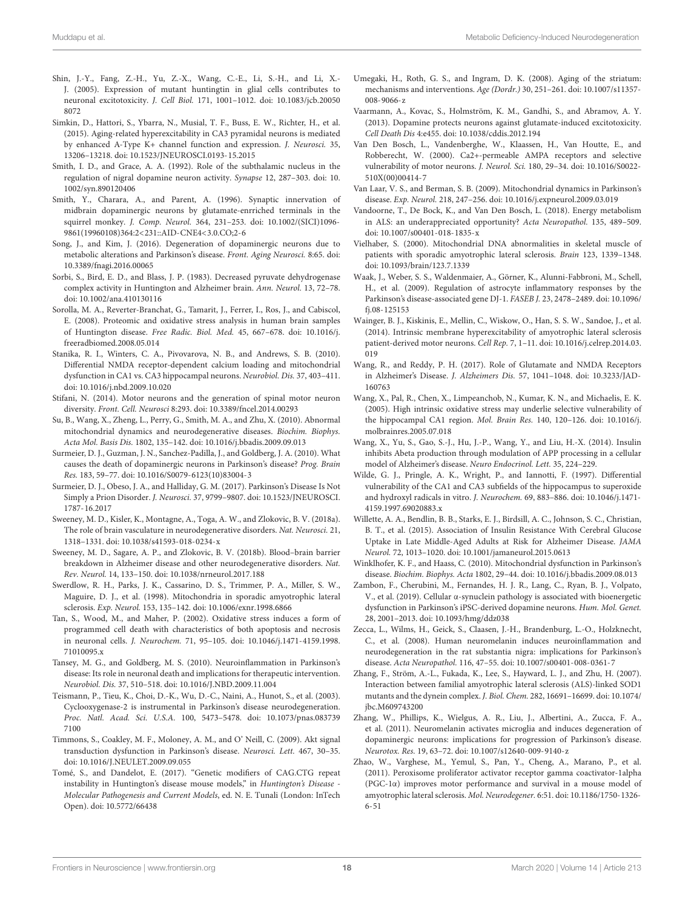- Shin, J.-Y., Fang, Z.-H., Yu, Z.-X., Wang, C.-E., Li, S.-H., and Li, X.- J. (2005). Expression of mutant huntingtin in glial cells contributes to neuronal excitotoxicity. J. Cell Biol. 171, 1001–1012. doi: 10.1083/jcb.20050 8072
- Simkin, D., Hattori, S., Ybarra, N., Musial, T. F., Buss, E. W., Richter, H., et al. (2015). Aging-related hyperexcitability in CA3 pyramidal neurons is mediated by enhanced A-Type K+ channel function and expression. J. Neurosci. 35, 13206–13218. doi: 10.1523/JNEUROSCI.0193-15.2015
- Smith, I. D., and Grace, A. A. (1992). Role of the subthalamic nucleus in the regulation of nigral dopamine neuron activity. Synapse 12, 287–303. doi: 10. 1002/syn.890120406
- Smith, Y., Charara, A., and Parent, A. (1996). Synaptic innervation of midbrain dopaminergic neurons by glutamate-enrriched terminals in the squirrel monkey. J. Comp. Neurol. 364, 231–253. doi: 10.1002/(SICI)1096- 9861(19960108)364:2<231::AID-CNE4<3.0.CO;2-6
- Song, J., and Kim, J. (2016). Degeneration of dopaminergic neurons due to metabolic alterations and Parkinson's disease. Front. Aging Neurosci. 8:65. doi: 10.3389/fnagi.2016.00065
- Sorbi, S., Bird, E. D., and Blass, J. P. (1983). Decreased pyruvate dehydrogenase complex activity in Huntington and Alzheimer brain. Ann. Neurol. 13, 72–78. doi: 10.1002/ana.410130116
- Sorolla, M. A., Reverter-Branchat, G., Tamarit, J., Ferrer, I., Ros, J., and Cabiscol, E. (2008). Proteomic and oxidative stress analysis in human brain samples of Huntington disease. Free Radic. Biol. Med. 45, 667–678. doi: 10.1016/j. freeradbiomed.2008.05.014
- Stanika, R. I., Winters, C. A., Pivovarova, N. B., and Andrews, S. B. (2010). Differential NMDA receptor-dependent calcium loading and mitochondrial dysfunction in CA1 vs. CA3 hippocampal neurons. Neurobiol. Dis. 37, 403–411. doi: 10.1016/j.nbd.2009.10.020
- Stifani, N. (2014). Motor neurons and the generation of spinal motor neuron diversity. Front. Cell. Neurosci 8:293. doi: 10.3389/fncel.2014.00293
- Su, B., Wang, X., Zheng, L., Perry, G., Smith, M. A., and Zhu, X. (2010). Abnormal mitochondrial dynamics and neurodegenerative diseases. Biochim. Biophys. Acta Mol. Basis Dis. 1802, 135–142. doi: 10.1016/j.bbadis.2009.09.013
- Surmeier, D. J., Guzman, J. N., Sanchez-Padilla, J., and Goldberg, J. A. (2010). What causes the death of dopaminergic neurons in Parkinson's disease? Prog. Brain Res. 183, 59–77. doi: 10.1016/S0079-6123(10)83004-3
- Surmeier, D. J., Obeso, J. A., and Halliday, G. M. (2017). Parkinson's Disease Is Not Simply a Prion Disorder. J. Neurosci. 37, 9799–9807. doi: 10.1523/JNEUROSCI. 1787-16.2017
- Sweeney, M. D., Kisler, K., Montagne, A., Toga, A. W., and Zlokovic, B. V. (2018a). The role of brain vasculature in neurodegenerative disorders. Nat. Neurosci. 21, 1318–1331. doi: 10.1038/s41593-018-0234-x
- Sweeney, M. D., Sagare, A. P., and Zlokovic, B. V. (2018b). Blood–brain barrier breakdown in Alzheimer disease and other neurodegenerative disorders. Nat. Rev. Neurol. 14, 133–150. doi: 10.1038/nrneurol.2017.188
- Swerdlow, R. H., Parks, J. K., Cassarino, D. S., Trimmer, P. A., Miller, S. W., Maguire, D. J., et al. (1998). Mitochondria in sporadic amyotrophic lateral sclerosis. Exp. Neurol. 153, 135–142. doi: 10.1006/exnr.1998.6866
- Tan, S., Wood, M., and Maher, P. (2002). Oxidative stress induces a form of programmed cell death with characteristics of both apoptosis and necrosis in neuronal cells. J. Neurochem. 71, 95–105. doi: 10.1046/j.1471-4159.1998. 71010095.x
- Tansey, M. G., and Goldberg, M. S. (2010). Neuroinflammation in Parkinson's disease: Its role in neuronal death and implications for therapeutic intervention. Neurobiol. Dis. 37, 510–518. doi: 10.1016/J.NBD.2009.11.004
- Teismann, P., Tieu, K., Choi, D.-K., Wu, D.-C., Naini, A., Hunot, S., et al. (2003). Cyclooxygenase-2 is instrumental in Parkinson's disease neurodegeneration. Proc. Natl. Acad. Sci. U.S.A. 100, 5473–5478. doi: 10.1073/pnas.083739 7100
- Timmons, S., Coakley, M. F., Moloney, A. M., and O' Neill, C. (2009). Akt signal transduction dysfunction in Parkinson's disease. Neurosci. Lett. 467, 30–35. doi: 10.1016/J.NEULET.2009.09.055
- Tomé, S., and Dandelot, E. (2017). "Genetic modifiers of CAG.CTG repeat instability in Huntington's disease mouse models," in Huntington's Disease Molecular Pathogenesis and Current Models, ed. N. E. Tunali (London: InTech Open). doi: 10.5772/66438
- Umegaki, H., Roth, G. S., and Ingram, D. K. (2008). Aging of the striatum: mechanisms and interventions. Age (Dordr.) 30, 251–261. doi: 10.1007/s11357- 008-9066-z
- Vaarmann, A., Kovac, S., Holmström, K. M., Gandhi, S., and Abramov, A. Y. (2013). Dopamine protects neurons against glutamate-induced excitotoxicity. Cell Death Dis 4:e455. doi: 10.1038/cddis.2012.194
- Van Den Bosch, L., Vandenberghe, W., Klaassen, H., Van Houtte, E., and Robberecht, W. (2000). Ca2+-permeable AMPA receptors and selective vulnerability of motor neurons. J. Neurol. Sci. 180, 29–34. doi: 10.1016/S0022- 510X(00)00414-7
- Van Laar, V. S., and Berman, S. B. (2009). Mitochondrial dynamics in Parkinson's disease. Exp. Neurol. 218, 247–256. doi: 10.1016/j.expneurol.2009.03.019
- Vandoorne, T., De Bock, K., and Van Den Bosch, L. (2018). Energy metabolism in ALS: an underappreciated opportunity? Acta Neuropathol. 135, 489–509. doi: 10.1007/s00401-018-1835-x
- Vielhaber, S. (2000). Mitochondrial DNA abnormalities in skeletal muscle of patients with sporadic amyotrophic lateral sclerosis. Brain 123, 1339–1348. doi: 10.1093/brain/123.7.1339
- Waak, J., Weber, S. S., Waldenmaier, A., Görner, K., Alunni-Fabbroni, M., Schell, H., et al. (2009). Regulation of astrocyte inflammatory responses by the Parkinson's disease-associated gene DJ-1. FASEB J. 23, 2478–2489. doi: 10.1096/ fj.08-125153
- Wainger, B. J., Kiskinis, E., Mellin, C., Wiskow, O., Han, S. S. W., Sandoe, J., et al. (2014). Intrinsic membrane hyperexcitability of amyotrophic lateral sclerosis patient-derived motor neurons. Cell Rep. 7, 1–11. doi: 10.1016/j.celrep.2014.03. 019
- Wang, R., and Reddy, P. H. (2017). Role of Glutamate and NMDA Receptors in Alzheimer's Disease. J. Alzheimers Dis. 57, 1041–1048. doi: 10.3233/JAD-160763
- Wang, X., Pal, R., Chen, X., Limpeanchob, N., Kumar, K. N., and Michaelis, E. K. (2005). High intrinsic oxidative stress may underlie selective vulnerability of the hippocampal CA1 region. Mol. Brain Res. 140, 120–126. doi: 10.1016/j. molbrainres.2005.07.018
- Wang, X., Yu, S., Gao, S.-J., Hu, J.-P., Wang, Y., and Liu, H.-X. (2014). Insulin inhibits Abeta production through modulation of APP processing in a cellular model of Alzheimer's disease. Neuro Endocrinol. Lett. 35, 224–229.
- Wilde, G. J., Pringle, A. K., Wright, P., and Iannotti, F. (1997). Differential vulnerability of the CA1 and CA3 subfields of the hippocampus to superoxide and hydroxyl radicals in vitro. J. Neurochem. 69, 883–886. doi: 10.1046/j.1471- 4159.1997.69020883.x
- Willette, A. A., Bendlin, B. B., Starks, E. J., Birdsill, A. C., Johnson, S. C., Christian, B. T., et al. (2015). Association of Insulin Resistance With Cerebral Glucose Uptake in Late Middle-Aged Adults at Risk for Alzheimer Disease. JAMA Neurol. 72, 1013–1020. doi: 10.1001/jamaneurol.2015.0613
- Winklhofer, K. F., and Haass, C. (2010). Mitochondrial dysfunction in Parkinson's disease. Biochim. Biophys. Acta 1802, 29–44. doi: 10.1016/j.bbadis.2009.08.013
- Zambon, F., Cherubini, M., Fernandes, H. J. R., Lang, C., Ryan, B. J., Volpato, V., et al. (2019). Cellular α-synuclein pathology is associated with bioenergetic dysfunction in Parkinson's iPSC-derived dopamine neurons. Hum. Mol. Genet. 28, 2001–2013. doi: 10.1093/hmg/ddz038
- Zecca, L., Wilms, H., Geick, S., Claasen, J.-H., Brandenburg, L.-O., Holzknecht, C., et al. (2008). Human neuromelanin induces neuroinflammation and neurodegeneration in the rat substantia nigra: implications for Parkinson's disease. Acta Neuropathol. 116, 47–55. doi: 10.1007/s00401-008-0361-7
- Zhang, F., Ström, A.-L., Fukada, K., Lee, S., Hayward, L. J., and Zhu, H. (2007). Interaction between familial amyotrophic lateral sclerosis (ALS)-linked SOD1 mutants and the dynein complex. J. Biol. Chem. 282, 16691–16699. doi: 10.1074/ jbc.M609743200
- Zhang, W., Phillips, K., Wielgus, A. R., Liu, J., Albertini, A., Zucca, F. A., et al. (2011). Neuromelanin activates microglia and induces degeneration of dopaminergic neurons: implications for progression of Parkinson's disease. Neurotox. Res. 19, 63–72. doi: 10.1007/s12640-009-9140-z
- Zhao, W., Varghese, M., Yemul, S., Pan, Y., Cheng, A., Marano, P., et al. (2011). Peroxisome proliferator activator receptor gamma coactivator-1alpha (PGC-1α) improves motor performance and survival in a mouse model of amyotrophic lateral sclerosis. Mol. Neurodegener. 6:51. doi: 10.1186/1750-1326- 6-51